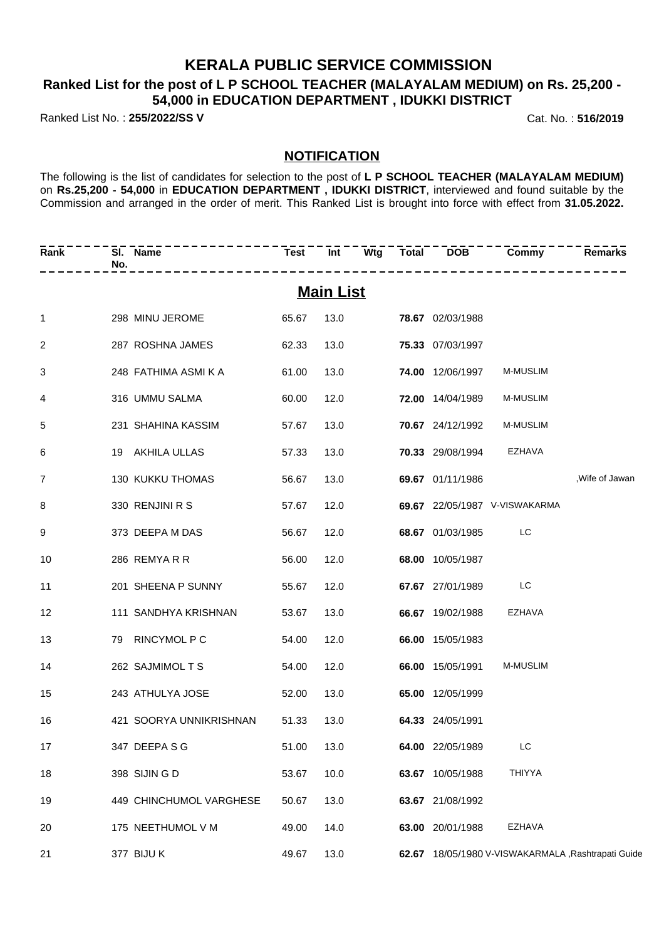## **KERALA PUBLIC SERVICE COMMISSION**

## **Ranked List for the post of L P SCHOOL TEACHER (MALAYALAM MEDIUM) on Rs. 25,200 - 54,000 in EDUCATION DEPARTMENT , IDUKKI DISTRICT**

Ranked List No. : **255/2022/SS V** Cat. No. : **516/2019**

### **NOTIFICATION**

The following is the list of candidates for selection to the post of **L P SCHOOL TEACHER (MALAYALAM MEDIUM)** on **Rs.25,200 - 54,000** in **EDUCATION DEPARTMENT , IDUKKI DISTRICT**, interviewed and found suitable by the Commission and arranged in the order of merit. This Ranked List is brought into force with effect from **31.05.2022.**

| Rank           | SI. Name<br>No. | ---------                     | <b>Test</b> |                  |  |                         | Int Wtg Total DOB Commy                            | <b>Remarks</b>  |
|----------------|-----------------|-------------------------------|-------------|------------------|--|-------------------------|----------------------------------------------------|-----------------|
|                |                 |                               |             | <b>Main List</b> |  |                         |                                                    |                 |
| $\mathbf{1}$   |                 | 298 MINU JEROME               | 65.67       |                  |  | 13.0 78.67 02/03/1988   |                                                    |                 |
| $\overline{2}$ |                 | 287 ROSHNA JAMES              | 62.33       | 13.0             |  | 75.33 07/03/1997        |                                                    |                 |
| 3              |                 | 248 FATHIMA ASMI K A          | 61.00       | 13.0             |  | 74.00 12/06/1997        | <b>M-MUSLIM</b>                                    |                 |
| $\overline{4}$ |                 | 316 UMMU SALMA                | 60.00       | 12.0             |  | 72.00 14/04/1989        | <b>M-MUSLIM</b>                                    |                 |
| 5              |                 | 231 SHAHINA KASSIM            | 57.67       | 13.0             |  | <b>70.67</b> 24/12/1992 | <b>M-MUSLIM</b>                                    |                 |
| 6              |                 | 19 AKHILA ULLAS               | 57.33       | 13.0             |  | <b>70.33</b> 29/08/1994 | EZHAVA                                             |                 |
| $\overline{7}$ |                 | 130 KUKKU THOMAS              | 56.67       | 13.0             |  | 69.67 01/11/1986        |                                                    | , Wife of Jawan |
| 8              |                 | 330 RENJINI R S               | 57.67       | 12.0             |  |                         | 69.67 22/05/1987 V-VISWAKARMA                      |                 |
| 9              |                 | 373 DEEPA M DAS               | 56.67       | 12.0             |  | 68.67 01/03/1985        | LC                                                 |                 |
| 10             | 286 REMYARR     |                               | 56.00       | 12.0             |  | 68.00 10/05/1987        |                                                    |                 |
| 11             |                 | 201 SHEENA P SUNNY            | 55.67       | 12.0             |  | 67.67 27/01/1989        | LC                                                 |                 |
| 12             |                 | 111 SANDHYA KRISHNAN          | 53.67       | 13.0             |  | 66.67 19/02/1988        | EZHAVA                                             |                 |
| 13             |                 | 79 RINCYMOL P C               | 54.00       | 12.0             |  | 66.00 15/05/1983        |                                                    |                 |
| 14             |                 | 262 SAJMIMOL T S              | 54.00       | 12.0             |  | 66.00 15/05/1991        | <b>M-MUSLIM</b>                                    |                 |
| 15             |                 | 243 ATHULYA JOSE              | 52.00       | 13.0             |  | 65.00 12/05/1999        |                                                    |                 |
| 16             |                 | 421 SOORYA UNNIKRISHNAN 51.33 |             | 13.0             |  | 64.33 24/05/1991        |                                                    |                 |
| 17             | 347 DEEPA S G   |                               | 51.00 13.0  |                  |  | 64.00 22/05/1989 LC     |                                                    |                 |
| 18             | 398 SIJIN G D   |                               | 53.67       | 10.0             |  | 63.67 10/05/1988        | THIYYA                                             |                 |
| 19             |                 | 449 CHINCHUMOL VARGHESE       | 50.67       | 13.0             |  | 63.67 21/08/1992        |                                                    |                 |
| 20             |                 | 175 NEETHUMOL V M             | 49.00       | 14.0             |  | 63.00 20/01/1988        | EZHAVA                                             |                 |
| 21             | 377 BIJU K      |                               | 49.67       | 13.0             |  |                         | 62.67 18/05/1980 V-VISWAKARMALA, Rashtrapati Guide |                 |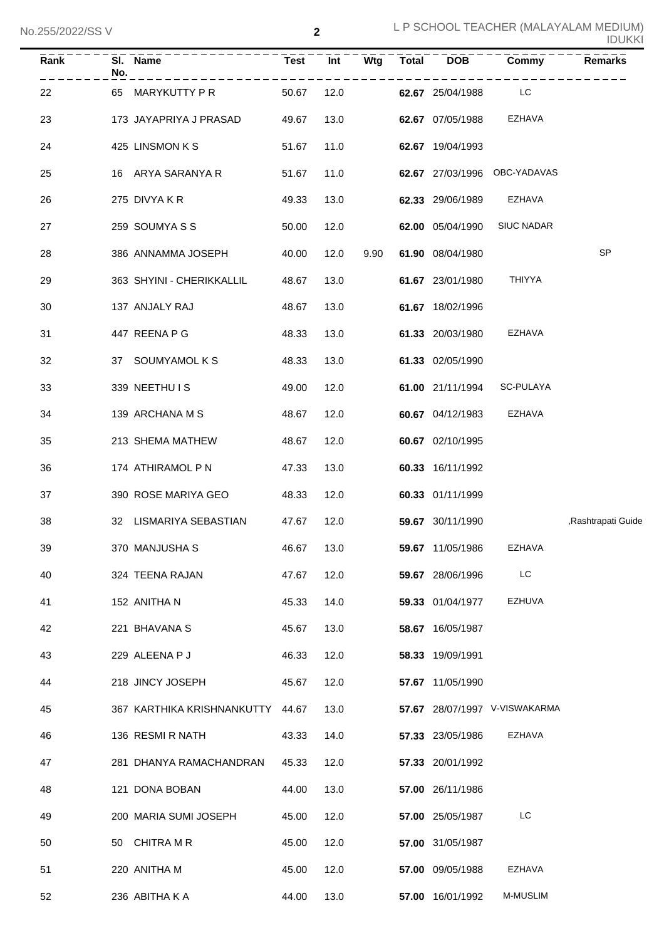| Rank | No. | SI. Name                         | <b>Test</b> | Int  | Wtg  | <b>Total</b> | <b>DOB</b>       | Commy                         | <b>Remarks</b>     |
|------|-----|----------------------------------|-------------|------|------|--------------|------------------|-------------------------------|--------------------|
| 22   | 65  | MARYKUTTY P R                    | 50.67       | 12.0 |      |              | 62.67 25/04/1988 | LC                            |                    |
| 23   |     | 173 JAYAPRIYA J PRASAD           | 49.67       | 13.0 |      |              | 62.67 07/05/1988 | EZHAVA                        |                    |
| 24   |     | 425 LINSMON K S                  | 51.67       | 11.0 |      |              | 62.67 19/04/1993 |                               |                    |
| 25   |     | 16 ARYA SARANYA R                | 51.67       | 11.0 |      |              |                  | 62.67 27/03/1996 OBC-YADAVAS  |                    |
| 26   |     | 275 DIVYA K R                    | 49.33       | 13.0 |      |              | 62.33 29/06/1989 | EZHAVA                        |                    |
| 27   |     | 259 SOUMYASS                     | 50.00       | 12.0 |      |              | 62.00 05/04/1990 | <b>SIUC NADAR</b>             |                    |
| 28   |     | 386 ANNAMMA JOSEPH               | 40.00       | 12.0 | 9.90 |              | 61.90 08/04/1980 |                               | <b>SP</b>          |
| 29   |     | 363 SHYINI - CHERIKKALLIL        | 48.67       | 13.0 |      |              | 61.67 23/01/1980 | <b>THIYYA</b>                 |                    |
| 30   |     | 137 ANJALY RAJ                   | 48.67       | 13.0 |      |              | 61.67 18/02/1996 |                               |                    |
| 31   |     | 447 REENA P G                    | 48.33       | 13.0 |      |              | 61.33 20/03/1980 | EZHAVA                        |                    |
| 32   |     | 37 SOUMYAMOL K S                 | 48.33       | 13.0 |      |              | 61.33 02/05/1990 |                               |                    |
| 33   |     | 339 NEETHU IS                    | 49.00       | 12.0 |      |              | 61.00 21/11/1994 | SC-PULAYA                     |                    |
| 34   |     | 139 ARCHANA M S                  | 48.67       | 12.0 |      |              | 60.67 04/12/1983 | EZHAVA                        |                    |
| 35   |     | 213 SHEMA MATHEW                 | 48.67       | 12.0 |      |              | 60.67 02/10/1995 |                               |                    |
| 36   |     | 174 ATHIRAMOL P N                | 47.33       | 13.0 |      |              | 60.33 16/11/1992 |                               |                    |
| 37   |     | 390 ROSE MARIYA GEO              | 48.33       | 12.0 |      |              | 60.33 01/11/1999 |                               |                    |
| 38   |     | 32 LISMARIYA SEBASTIAN           | 47.67       | 12.0 |      |              | 59.67 30/11/1990 |                               | ,Rashtrapati Guide |
| 39   |     | 370 MANJUSHA S                   | 46.67       | 13.0 |      |              | 59.67 11/05/1986 | <b>EZHAVA</b>                 |                    |
| 40   |     | 324 TEENA RAJAN                  | 47.67       | 12.0 |      |              | 59.67 28/06/1996 | LC                            |                    |
| 41   |     | 152 ANITHA N                     | 45.33       | 14.0 |      |              | 59.33 01/04/1977 | <b>EZHUVA</b>                 |                    |
| 42   |     | 221 BHAVANA S                    | 45.67       | 13.0 |      |              | 58.67 16/05/1987 |                               |                    |
| 43   |     | 229 ALEENA P J                   | 46.33       | 12.0 |      |              | 58.33 19/09/1991 |                               |                    |
| 44   |     | 218 JINCY JOSEPH                 | 45.67       | 12.0 |      |              | 57.67 11/05/1990 |                               |                    |
| 45   |     | 367 KARTHIKA KRISHNANKUTTY 44.67 |             | 13.0 |      |              |                  | 57.67 28/07/1997 V-VISWAKARMA |                    |
| 46   |     | 136 RESMI R NATH                 | 43.33       | 14.0 |      |              | 57.33 23/05/1986 | <b>EZHAVA</b>                 |                    |
| 47   |     | 281 DHANYA RAMACHANDRAN          | 45.33       | 12.0 |      |              | 57.33 20/01/1992 |                               |                    |
| 48   |     | 121 DONA BOBAN                   | 44.00       | 13.0 |      |              | 57.00 26/11/1986 |                               |                    |
| 49   |     | 200 MARIA SUMI JOSEPH            | 45.00       | 12.0 |      |              | 57.00 25/05/1987 | LC                            |                    |
| 50   |     | 50 CHITRA M R                    | 45.00       | 12.0 |      |              | 57.00 31/05/1987 |                               |                    |
| 51   |     | 220 ANITHA M                     | 45.00       | 12.0 |      |              | 57.00 09/05/1988 | EZHAVA                        |                    |
| 52   |     | 236 ABITHA K A                   | 44.00       | 13.0 |      |              | 57.00 16/01/1992 | M-MUSLIM                      |                    |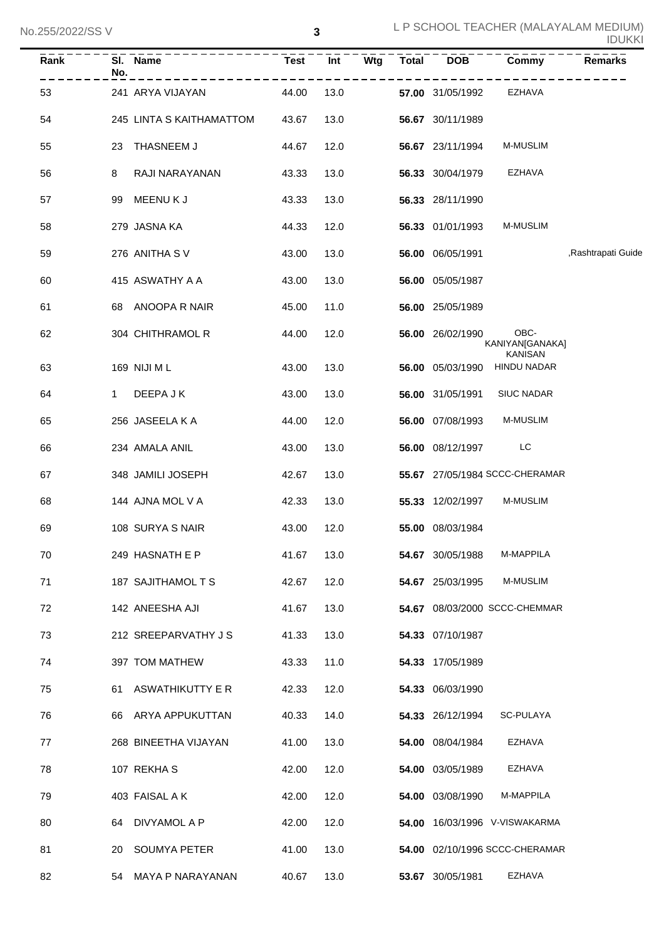| Rank | SI. Name<br>No.          | <b>Test</b> |      | Int Wtg | Total DOB               | Commy                                     | <b>Remarks</b>     |
|------|--------------------------|-------------|------|---------|-------------------------|-------------------------------------------|--------------------|
| 53   | 241 ARYA VIJAYAN         | 44.00       | 13.0 |         | <b>57.00</b> 31/05/1992 | EZHAVA                                    |                    |
| 54   | 245 LINTA S KAITHAMATTOM | 43.67       | 13.0 |         | 56.67 30/11/1989        |                                           |                    |
| 55   | 23 THASNEEM J            | 44.67       | 12.0 |         | 56.67 23/11/1994        | M-MUSLIM                                  |                    |
| 56   | RAJI NARAYANAN<br>8      | 43.33       | 13.0 |         | 56.33 30/04/1979        | EZHAVA                                    |                    |
| 57   | 99 MEENUKJ               | 43.33       | 13.0 |         | 56.33 28/11/1990        |                                           |                    |
| 58   | 279 JASNA KA             | 44.33       | 12.0 |         | 56.33 01/01/1993        | <b>M-MUSLIM</b>                           |                    |
| 59   | 276 ANITHA SV            | 43.00       | 13.0 |         | 56.00 06/05/1991        |                                           | ,Rashtrapati Guide |
| 60   | 415 ASWATHY A A          | 43.00       | 13.0 |         | 56.00 05/05/1987        |                                           |                    |
| 61   | 68 ANOOPA R NAIR         | 45.00       | 11.0 |         | 56.00 25/05/1989        |                                           |                    |
| 62   | 304 CHITHRAMOL R         | 44.00       | 12.0 |         | 56.00 26/02/1990        | OBC-<br>KANIYAN[GANAKA]<br><b>KANISAN</b> |                    |
| 63   | 169 NIJI M L             | 43.00       | 13.0 |         |                         | 56.00 05/03/1990 HINDU NADAR              |                    |
| 64   | DEEPA J K<br>$1 \quad$   | 43.00       | 13.0 |         | <b>56.00</b> 31/05/1991 | <b>SIUC NADAR</b>                         |                    |
| 65   | 256 JASEELA K A          | 44.00       | 12.0 |         | <b>56.00</b> 07/08/1993 | M-MUSLIM                                  |                    |
| 66   | 234 AMALA ANIL           | 43.00       | 13.0 |         | 56.00 08/12/1997        | <b>EXECUTE:</b>                           |                    |
| 67   | 348 JAMILI JOSEPH        | 42.67       | 13.0 |         |                         | 55.67 27/05/1984 SCCC-CHERAMAR            |                    |
| 68   | 144 AJNA MOL V A         | 42.33       | 13.0 |         | 55.33 12/02/1997        | <b>M-MUSLIM</b>                           |                    |
| 69   | 108 SURYA S NAIR         | 43.00       | 12.0 |         | 55.00 08/03/1984        |                                           |                    |
| 70   | 249 HASNATH E P          | 41.67       | 13.0 |         | 54.67 30/05/1988        | M-MAPPILA                                 |                    |
| 71   | 187 SAJITHAMOL T S       | 42.67       | 12.0 |         | 54.67 25/03/1995        | M-MUSLIM                                  |                    |
| 72   | 142 ANEESHA AJI          | 41.67       | 13.0 |         |                         | 54.67 08/03/2000 SCCC-CHEMMAR             |                    |
| 73   | 212 SREEPARVATHY J S     | 41.33       | 13.0 |         | 54.33 07/10/1987        |                                           |                    |
| 74   | 397 TOM MATHEW           | 43.33       | 11.0 |         | 54.33 17/05/1989        |                                           |                    |
| 75   | ASWATHIKUTTY E R<br>61   | 42.33       | 12.0 |         | 54.33 06/03/1990        |                                           |                    |
| 76   | ARYA APPUKUTTAN<br>66    | 40.33       | 14.0 |         | 54.33 26/12/1994        | SC-PULAYA                                 |                    |
| 77   | 268 BINEETHA VIJAYAN     | 41.00       | 13.0 |         | 54.00 08/04/1984        | EZHAVA                                    |                    |
| 78   | 107 REKHAS               | 42.00       | 12.0 |         | 54.00 03/05/1989        | EZHAVA                                    |                    |
| 79   | 403 FAISAL A K           | 42.00       | 12.0 |         | 54.00 03/08/1990        | M-MAPPILA                                 |                    |
| 80   | DIVYAMOL A P<br>64       | 42.00       | 12.0 |         |                         | 54.00 16/03/1996 V-VISWAKARMA             |                    |
| 81   | SOUMYA PETER<br>20       | 41.00       | 13.0 |         |                         | 54.00 02/10/1996 SCCC-CHERAMAR            |                    |
| 82   | 54 MAYA P NARAYANAN      | 40.67       | 13.0 |         | 53.67 30/05/1981        | EZHAVA                                    |                    |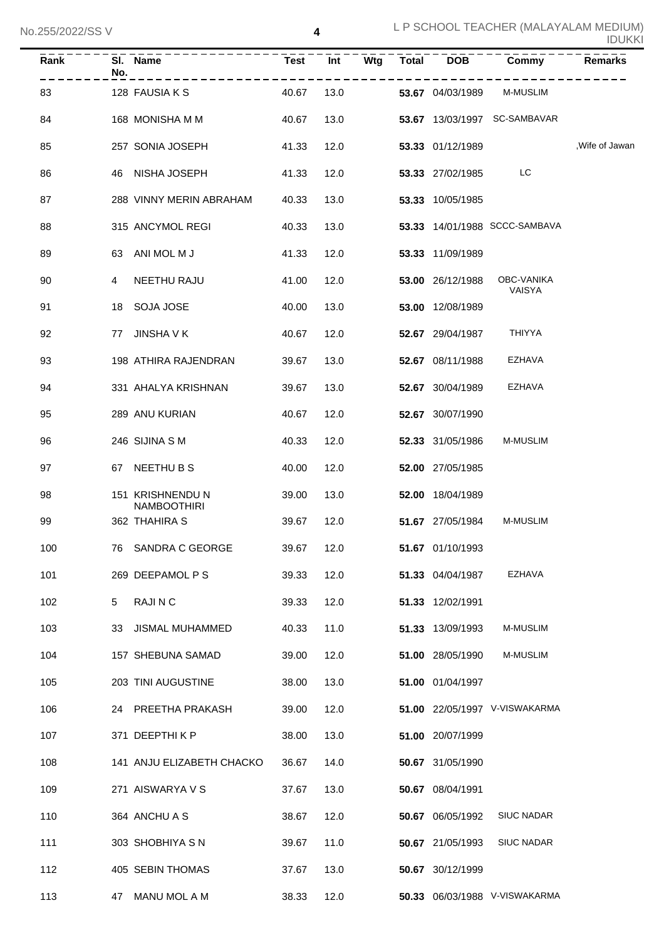| $\overline{\mathsf{Rank}}$ | No. | SI. Name                            | <b>Test</b> | Int  | $\overline{\mathsf{W}}$ tg | <b>Total</b> | <b>DOB</b>       | Commy                         | <b>Remarks</b>  |
|----------------------------|-----|-------------------------------------|-------------|------|----------------------------|--------------|------------------|-------------------------------|-----------------|
| 83                         |     | 128 FAUSIA K S                      | 40.67       | 13.0 |                            |              | 53.67 04/03/1989 | M-MUSLIM                      |                 |
| 84                         |     | 168 MONISHA M M                     | 40.67       | 13.0 |                            |              |                  | 53.67 13/03/1997 SC-SAMBAVAR  |                 |
| 85                         |     | 257 SONIA JOSEPH                    | 41.33       | 12.0 |                            |              | 53.33 01/12/1989 |                               | , Wife of Jawan |
| 86                         |     | 46 NISHA JOSEPH                     | 41.33       | 12.0 |                            |              | 53.33 27/02/1985 | LC                            |                 |
| 87                         |     | 288 VINNY MERIN ABRAHAM             | 40.33       | 13.0 |                            |              | 53.33 10/05/1985 |                               |                 |
| 88                         |     | 315 ANCYMOL REGI                    | 40.33       | 13.0 |                            |              |                  | 53.33 14/01/1988 SCCC-SAMBAVA |                 |
| 89                         | 63  | ANI MOL M J                         | 41.33       | 12.0 |                            |              | 53.33 11/09/1989 |                               |                 |
| 90                         | 4   | NEETHU RAJU                         | 41.00       | 12.0 |                            |              | 53.00 26/12/1988 | OBC-VANIKA<br>VAISYA          |                 |
| 91                         | 18  | SOJA JOSE                           | 40.00       | 13.0 |                            |              | 53.00 12/08/1989 |                               |                 |
| 92                         |     | 77 JINSHA V K                       | 40.67       | 12.0 |                            |              | 52.67 29/04/1987 | <b>THIYYA</b>                 |                 |
| 93                         |     | 198 ATHIRA RAJENDRAN                | 39.67       | 13.0 |                            |              | 52.67 08/11/1988 | <b>EZHAVA</b>                 |                 |
| 94                         |     | 331 AHALYA KRISHNAN                 | 39.67       | 13.0 |                            |              | 52.67 30/04/1989 | <b>EZHAVA</b>                 |                 |
| 95                         |     | 289 ANU KURIAN                      | 40.67       | 12.0 |                            |              | 52.67 30/07/1990 |                               |                 |
| 96                         |     | 246 SIJINA S M                      | 40.33       | 12.0 |                            |              | 52.33 31/05/1986 | M-MUSLIM                      |                 |
| 97                         |     | 67 NEETHUBS                         | 40.00       | 12.0 |                            |              | 52.00 27/05/1985 |                               |                 |
| 98                         |     | 151 KRISHNENDU N                    | 39.00       | 13.0 |                            |              | 52.00 18/04/1989 |                               |                 |
| 99                         |     | <b>NAMBOOTHIRI</b><br>362 THAHIRA S | 39.67       | 12.0 |                            |              | 51.67 27/05/1984 | <b>M-MUSLIM</b>               |                 |
| 100                        |     | 76 SANDRA C GEORGE                  | 39.67 12.0  |      |                            |              | 51.67 01/10/1993 |                               |                 |
| 101                        |     | 269 DEEPAMOL P S                    | 39.33       | 12.0 |                            |              | 51.33 04/04/1987 | EZHAVA                        |                 |
| 102                        | 5   | RAJI N C                            | 39.33       | 12.0 |                            |              | 51.33 12/02/1991 |                               |                 |
| 103                        |     | 33 JISMAL MUHAMMED                  | 40.33       | 11.0 |                            |              | 51.33 13/09/1993 | <b>M-MUSLIM</b>               |                 |
| 104                        |     | 157 SHEBUNA SAMAD                   | 39.00       | 12.0 |                            |              | 51.00 28/05/1990 | M-MUSLIM                      |                 |
| 105                        |     | 203 TINI AUGUSTINE                  | 38.00       | 13.0 |                            |              | 51.00 01/04/1997 |                               |                 |
| 106                        |     | 24 PREETHA PRAKASH                  | 39.00       | 12.0 |                            |              |                  | 51.00 22/05/1997 V-VISWAKARMA |                 |
| 107                        |     | 371 DEEPTHIKP                       | 38.00       | 13.0 |                            |              | 51.00 20/07/1999 |                               |                 |
| 108                        |     | 141 ANJU ELIZABETH CHACKO           | 36.67       | 14.0 |                            |              | 50.67 31/05/1990 |                               |                 |
| 109                        |     | 271 AISWARYA V S                    | 37.67       | 13.0 |                            |              | 50.67 08/04/1991 |                               |                 |
| 110                        |     | 364 ANCHU A S                       | 38.67       | 12.0 |                            |              | 50.67 06/05/1992 | <b>SIUC NADAR</b>             |                 |
| 111                        |     | 303 SHOBHIYA S N                    | 39.67       | 11.0 |                            |              | 50.67 21/05/1993 | <b>SIUC NADAR</b>             |                 |
| 112                        |     | 405 SEBIN THOMAS                    | 37.67       | 13.0 |                            |              | 50.67 30/12/1999 |                               |                 |
| 113                        |     | 47 MANU MOL A M                     | 38.33       | 12.0 |                            |              |                  | 50.33 06/03/1988 V-VISWAKARMA |                 |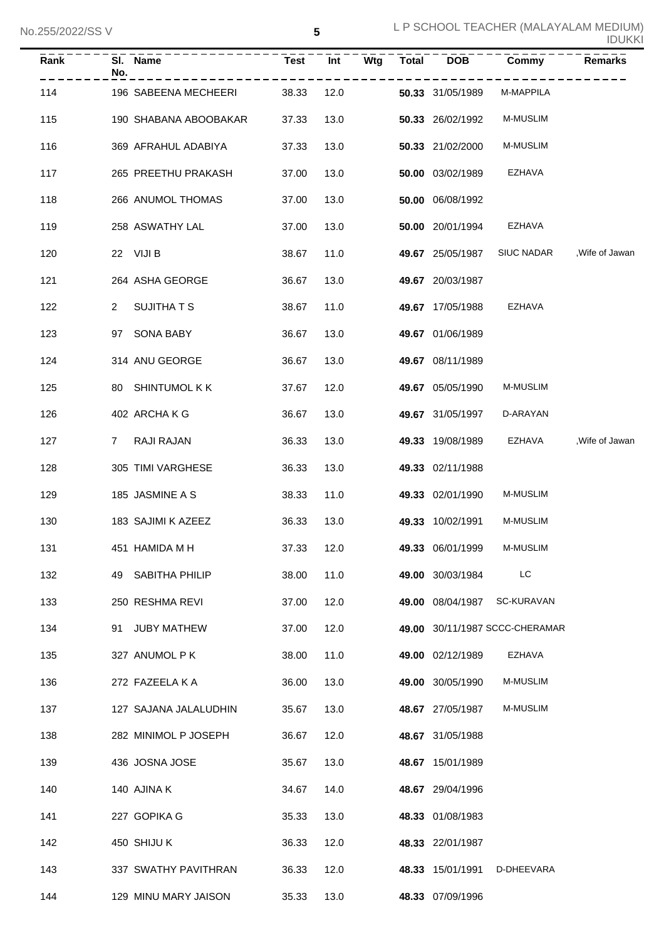| Rank | SI. Name<br>No.       | Test       | <b>Int</b> | <b>Wtg</b> | Total DOB        | Commy                          | <b>Remarks</b>  |
|------|-----------------------|------------|------------|------------|------------------|--------------------------------|-----------------|
| 114  | 196 SABEENA MECHEERI  | 38.33      | 12.0       |            | 50.33 31/05/1989 | M-MAPPILA                      |                 |
| 115  | 190 SHABANA ABOOBAKAR | 37.33      | 13.0       |            | 50.33 26/02/1992 | <b>M-MUSLIM</b>                |                 |
| 116  | 369 AFRAHUL ADABIYA   | 37.33      | 13.0       |            | 50.33 21/02/2000 | <b>M-MUSLIM</b>                |                 |
| 117  | 265 PREETHU PRAKASH   | 37.00      | 13.0       |            | 50.00 03/02/1989 | EZHAVA                         |                 |
| 118  | 266 ANUMOL THOMAS     | 37.00      | 13.0       |            | 50.00 06/08/1992 |                                |                 |
| 119  | 258 ASWATHY LAL       | 37.00      | 13.0       |            | 50.00 20/01/1994 | EZHAVA                         |                 |
| 120  | 22 VIJI B             | 38.67      | 11.0       |            | 49.67 25/05/1987 | <b>SIUC NADAR</b>              | ,Wife of Jawan  |
| 121  | 264 ASHA GEORGE       | 36.67      | 13.0       |            | 49.67 20/03/1987 |                                |                 |
| 122  | SUJITHA T S<br>2      | 38.67      | 11.0       |            | 49.67 17/05/1988 | EZHAVA                         |                 |
| 123  | 97 SONA BABY          | 36.67      | 13.0       |            | 49.67 01/06/1989 |                                |                 |
| 124  | 314 ANU GEORGE        | 36.67      | 13.0       |            | 49.67 08/11/1989 |                                |                 |
| 125  | 80 SHINTUMOL K K      | 37.67      | 12.0       |            | 49.67 05/05/1990 | <b>M-MUSLIM</b>                |                 |
| 126  | 402 ARCHAKG           | 36.67      | 13.0       |            | 49.67 31/05/1997 | D-ARAYAN                       |                 |
| 127  | RAJI RAJAN<br>7       | 36.33      | 13.0       |            | 49.33 19/08/1989 | EZHAVA                         | , Wife of Jawan |
| 128  | 305 TIMI VARGHESE     | 36.33      | 13.0       |            | 49.33 02/11/1988 |                                |                 |
| 129  | 185 JASMINE A S       | 38.33      | 11.0       |            | 49.33 02/01/1990 | <b>M-MUSLIM</b>                |                 |
| 130  | 183 SAJIMI K AZEEZ    | 36.33      | 13.0       |            | 49.33 10/02/1991 | <b>M-MUSLIM</b>                |                 |
| 131  | 451 HAMIDA M H        | 37.33 12.0 |            |            | 49.33 06/01/1999 | M-MUSLIM                       |                 |
| 132  | 49 SABITHA PHILIP     | 38.00      | 11.0       |            | 49.00 30/03/1984 | LC                             |                 |
| 133  | 250 RESHMA REVI       | 37.00      | 12.0       |            | 49.00 08/04/1987 | SC-KURAVAN                     |                 |
| 134  | 91 JUBY MATHEW        | 37.00      | 12.0       |            |                  | 49.00 30/11/1987 SCCC-CHERAMAR |                 |
| 135  | 327 ANUMOL P K        | 38.00      | 11.0       |            | 49.00 02/12/1989 | <b>EZHAVA</b>                  |                 |
| 136  | 272 FAZEELA K A       | 36.00      | 13.0       |            | 49.00 30/05/1990 | <b>M-MUSLIM</b>                |                 |
| 137  | 127 SAJANA JALALUDHIN | 35.67      | 13.0       |            | 48.67 27/05/1987 | <b>M-MUSLIM</b>                |                 |
| 138  | 282 MINIMOL P JOSEPH  | 36.67      | 12.0       |            | 48.67 31/05/1988 |                                |                 |
| 139  | 436 JOSNA JOSE        | 35.67      | 13.0       |            | 48.67 15/01/1989 |                                |                 |
| 140  | 140 AJINA K           | 34.67      | 14.0       |            | 48.67 29/04/1996 |                                |                 |
| 141  | 227 GOPIKA G          | 35.33      | 13.0       |            | 48.33 01/08/1983 |                                |                 |
| 142  | 450 SHIJU K           | 36.33      | 12.0       |            | 48.33 22/01/1987 |                                |                 |
| 143  | 337 SWATHY PAVITHRAN  | 36.33      | 12.0       |            | 48.33 15/01/1991 | D-DHEEVARA                     |                 |
| 144  | 129 MINU MARY JAISON  | 35.33      | 13.0       |            | 48.33 07/09/1996 |                                |                 |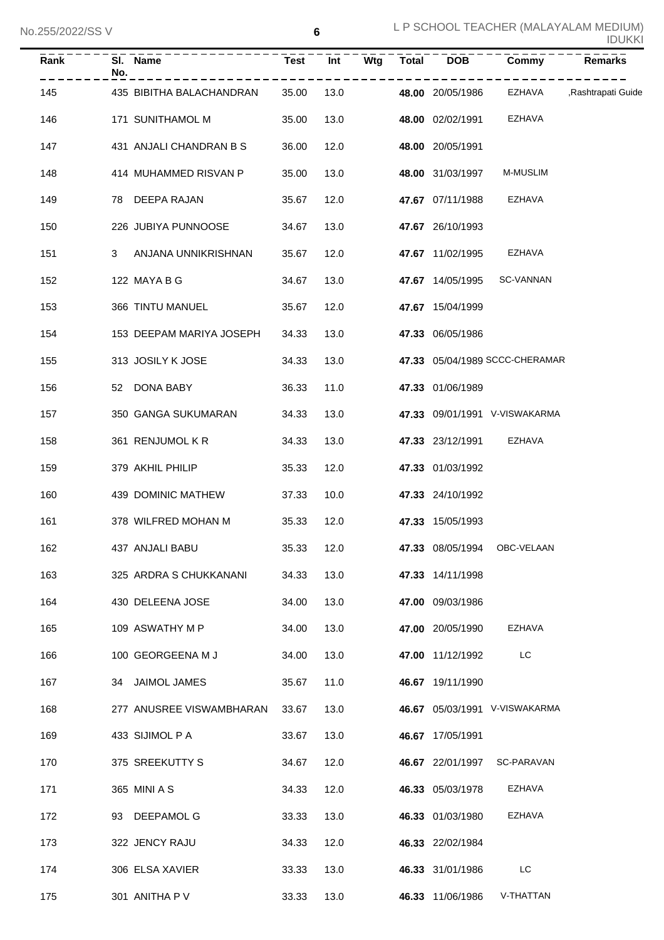| Rank | SI. Name<br>No. |                          | <b>Test</b> |      | $Int -\overline{Wtg}$ | Total DOB        | Commy                                           | Remarks |
|------|-----------------|--------------------------|-------------|------|-----------------------|------------------|-------------------------------------------------|---------|
| 145  |                 | 435 BIBITHA BALACHANDRAN | 35.00       | 13.0 | $- - - - - - - -$     |                  | .<br>48.00 20/05/1986 EZHAVA ,Rashtrapati Guide |         |
| 146  |                 | 171 SUNITHAMOL M         | 35.00       | 13.0 |                       | 48.00 02/02/1991 | EZHAVA                                          |         |
| 147  |                 | 431 ANJALI CHANDRAN B S  | 36.00       | 12.0 |                       | 48.00 20/05/1991 |                                                 |         |
| 148  |                 | 414 MUHAMMED RISVAN P    | 35.00       | 13.0 |                       | 48.00 31/03/1997 | M-MUSLIM                                        |         |
| 149  |                 | 78 DEEPA RAJAN           | 35.67       | 12.0 |                       | 47.67 07/11/1988 | EZHAVA                                          |         |
| 150  |                 | 226 JUBIYA PUNNOOSE      | 34.67       | 13.0 |                       | 47.67 26/10/1993 |                                                 |         |
| 151  | 3               | ANJANA UNNIKRISHNAN      | 35.67       | 12.0 |                       | 47.67 11/02/1995 | EZHAVA                                          |         |
| 152  |                 | 122 MAYA B G             | 34.67       | 13.0 |                       | 47.67 14/05/1995 | SC-VANNAN                                       |         |
| 153  |                 | 366 TINTU MANUEL         | 35.67       | 12.0 |                       | 47.67 15/04/1999 |                                                 |         |
| 154  |                 | 153 DEEPAM MARIYA JOSEPH | 34.33       | 13.0 |                       | 47.33 06/05/1986 |                                                 |         |
| 155  |                 | 313 JOSILY K JOSE        | 34.33       | 13.0 |                       |                  | 47.33 05/04/1989 SCCC-CHERAMAR                  |         |
| 156  |                 | 52 DONA BABY             | 36.33       | 11.0 |                       | 47.33 01/06/1989 |                                                 |         |
| 157  |                 | 350 GANGA SUKUMARAN      | 34.33       | 13.0 |                       |                  | 47.33 09/01/1991 V-VISWAKARMA                   |         |
| 158  |                 | 361 RENJUMOL K R         | 34.33       | 13.0 |                       |                  | 47.33 23/12/1991 EZHAVA                         |         |
| 159  |                 | 379 AKHIL PHILIP         | 35.33       | 12.0 |                       | 47.33 01/03/1992 |                                                 |         |
| 160  |                 | 439 DOMINIC MATHEW       | 37.33       | 10.0 |                       | 47.33 24/10/1992 |                                                 |         |
| 161  |                 | 378 WILFRED MOHAN M      | 35.33       | 12.0 |                       | 47.33 15/05/1993 |                                                 |         |
| 162  |                 | 437 ANJALI BABU          | 35.33       | 12.0 |                       |                  | 47.33 08/05/1994 OBC-VELAAN                     |         |
| 163  |                 | 325 ARDRA S CHUKKANANI   | 34.33       | 13.0 |                       | 47.33 14/11/1998 |                                                 |         |
| 164  |                 | 430 DELEENA JOSE         | 34.00       | 13.0 |                       | 47.00 09/03/1986 |                                                 |         |
| 165  |                 | 109 ASWATHY M P          | 34.00       | 13.0 |                       | 47.00 20/05/1990 | EZHAVA                                          |         |
| 166  |                 | 100 GEORGEENA M J        | 34.00       | 13.0 |                       | 47.00 11/12/1992 | LC                                              |         |
| 167  |                 | 34 JAIMOL JAMES          | 35.67       | 11.0 |                       | 46.67 19/11/1990 |                                                 |         |
| 168  |                 | 277 ANUSREE VISWAMBHARAN | 33.67       | 13.0 |                       |                  | 46.67 05/03/1991 V-VISWAKARMA                   |         |
| 169  |                 | 433 SIJIMOL P A          | 33.67       | 13.0 |                       | 46.67 17/05/1991 |                                                 |         |
| 170  |                 | 375 SREEKUTTY S          | 34.67       | 12.0 |                       | 46.67 22/01/1997 | SC-PARAVAN                                      |         |
| 171  |                 | 365 MINI A S             | 34.33       | 12.0 |                       | 46.33 05/03/1978 | EZHAVA                                          |         |
| 172  |                 | 93 DEEPAMOL G            | 33.33       | 13.0 |                       | 46.33 01/03/1980 | <b>EZHAVA</b>                                   |         |
| 173  |                 | 322 JENCY RAJU           | 34.33       | 12.0 |                       | 46.33 22/02/1984 |                                                 |         |
| 174  |                 | 306 ELSA XAVIER          | 33.33       | 13.0 |                       | 46.33 31/01/1986 | LC                                              |         |
| 175  |                 | 301 ANITHA P V           | 33.33       | 13.0 |                       | 46.33 11/06/1986 | V-THATTAN                                       |         |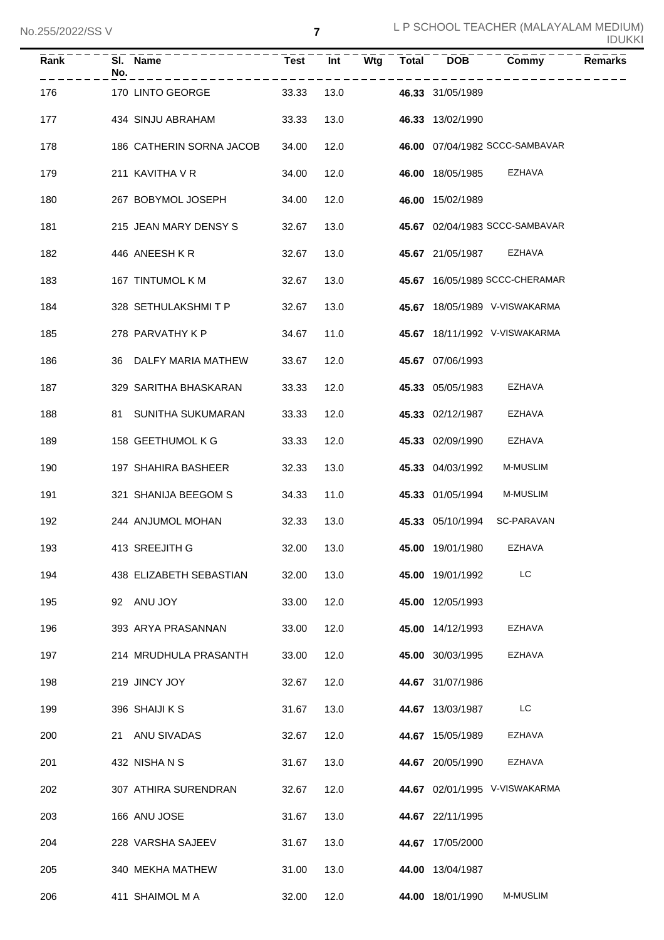| Rank | No. | SI. Name                 | <b>Test</b> | Int  | Wtg | <b>Total</b> | <b>DOB</b>       | Commy                          | <b>Remarks</b> |
|------|-----|--------------------------|-------------|------|-----|--------------|------------------|--------------------------------|----------------|
| 176  |     | 170 LINTO GEORGE         | 33.33       | 13.0 |     |              | 46.33 31/05/1989 |                                |                |
| 177  |     | 434 SINJU ABRAHAM        | 33.33       | 13.0 |     |              | 46.33 13/02/1990 |                                |                |
| 178  |     | 186 CATHERIN SORNA JACOB | 34.00       | 12.0 |     |              |                  | 46.00 07/04/1982 SCCC-SAMBAVAR |                |
| 179  |     | 211 KAVITHA V R          | 34.00       | 12.0 |     |              | 46.00 18/05/1985 | <b>EZHAVA</b>                  |                |
| 180  |     | 267 BOBYMOL JOSEPH       | 34.00       | 12.0 |     |              | 46.00 15/02/1989 |                                |                |
| 181  |     | 215 JEAN MARY DENSY S    | 32.67       | 13.0 |     |              |                  | 45.67 02/04/1983 SCCC-SAMBAVAR |                |
| 182  |     | 446 ANEESH KR            | 32.67       | 13.0 |     |              | 45.67 21/05/1987 | EZHAVA                         |                |
| 183  |     | 167 TINTUMOL K M         | 32.67       | 13.0 |     |              |                  | 45.67 16/05/1989 SCCC-CHERAMAR |                |
| 184  |     | 328 SETHULAKSHMIT P      | 32.67       | 13.0 |     |              |                  | 45.67 18/05/1989 V-VISWAKARMA  |                |
| 185  |     | 278 PARVATHY K P         | 34.67       | 11.0 |     |              |                  | 45.67 18/11/1992 V-VISWAKARMA  |                |
| 186  |     | 36 DALFY MARIA MATHEW    | 33.67       | 12.0 |     |              | 45.67 07/06/1993 |                                |                |
| 187  |     | 329 SARITHA BHASKARAN    | 33.33       | 12.0 |     |              | 45.33 05/05/1983 | <b>EZHAVA</b>                  |                |
| 188  |     | 81 SUNITHA SUKUMARAN     | 33.33       | 12.0 |     |              | 45.33 02/12/1987 | <b>EZHAVA</b>                  |                |
| 189  |     | 158 GEETHUMOL K G        | 33.33       | 12.0 |     |              | 45.33 02/09/1990 | EZHAVA                         |                |
| 190  |     | 197 SHAHIRA BASHEER      | 32.33       | 13.0 |     |              | 45.33 04/03/1992 | M-MUSLIM                       |                |
| 191  |     | 321 SHANIJA BEEGOM S     | 34.33       | 11.0 |     |              | 45.33 01/05/1994 | <b>M-MUSLIM</b>                |                |
| 192  |     | 244 ANJUMOL MOHAN        | 32.33       | 13.0 |     |              | 45.33 05/10/1994 | SC-PARAVAN                     |                |
| 193  |     | 413 SREEJITH G           | 32.00 13.0  |      |     |              | 45.00 19/01/1980 | EZHAVA                         |                |
| 194  |     | 438 ELIZABETH SEBASTIAN  | 32.00       | 13.0 |     |              | 45.00 19/01/1992 | LC                             |                |
| 195  |     | 92 ANU JOY               | 33.00       | 12.0 |     |              | 45.00 12/05/1993 |                                |                |
| 196  |     | 393 ARYA PRASANNAN       | 33.00       | 12.0 |     |              | 45.00 14/12/1993 | <b>EZHAVA</b>                  |                |
| 197  |     | 214 MRUDHULA PRASANTH    | 33.00       | 12.0 |     |              | 45.00 30/03/1995 | EZHAVA                         |                |
| 198  |     | 219 JINCY JOY            | 32.67       | 12.0 |     |              | 44.67 31/07/1986 |                                |                |
| 199  |     | 396 SHAIJI K S           | 31.67       | 13.0 |     |              | 44.67 13/03/1987 | LC                             |                |
| 200  |     | 21 ANU SIVADAS           | 32.67       | 12.0 |     |              | 44.67 15/05/1989 | <b>EZHAVA</b>                  |                |
| 201  |     | 432 NISHANS              | 31.67       | 13.0 |     |              | 44.67 20/05/1990 | EZHAVA                         |                |
| 202  |     | 307 ATHIRA SURENDRAN     | 32.67       | 12.0 |     |              |                  | 44.67 02/01/1995 V-VISWAKARMA  |                |
| 203  |     | 166 ANU JOSE             | 31.67       | 13.0 |     |              | 44.67 22/11/1995 |                                |                |
| 204  |     | 228 VARSHA SAJEEV        | 31.67       | 13.0 |     |              | 44.67 17/05/2000 |                                |                |
| 205  |     | 340 MEKHA MATHEW         | 31.00       | 13.0 |     |              | 44.00 13/04/1987 |                                |                |
| 206  |     | 411 SHAIMOL M A          | 32.00       | 12.0 |     |              | 44.00 18/01/1990 | M-MUSLIM                       |                |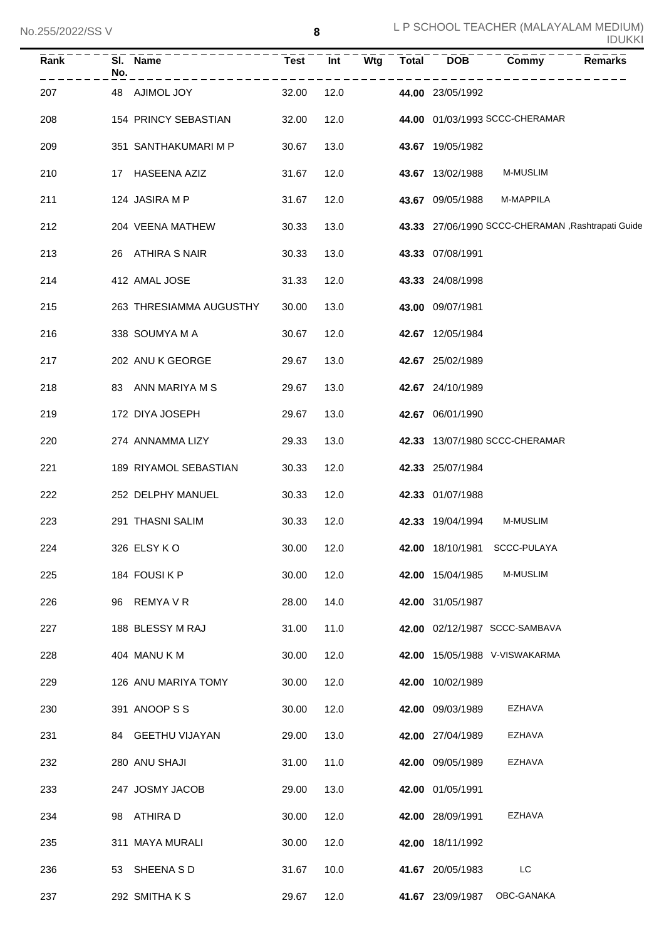| Rank | SI. Name<br>No.         | <b>Test</b> | Int  | Wtg | <b>Total</b> | <b>DOB</b>       | Commy                                              | <b>Remarks</b> |
|------|-------------------------|-------------|------|-----|--------------|------------------|----------------------------------------------------|----------------|
| 207  | 48<br>AJIMOL JOY        | 32.00       | 12.0 |     |              | 44.00 23/05/1992 |                                                    |                |
| 208  | 154 PRINCY SEBASTIAN    | 32.00       | 12.0 |     |              |                  | 44.00 01/03/1993 SCCC-CHERAMAR                     |                |
| 209  | 351 SANTHAKUMARI M P    | 30.67       | 13.0 |     |              | 43.67 19/05/1982 |                                                    |                |
| 210  | 17 HASEENA AZIZ         | 31.67       | 12.0 |     |              | 43.67 13/02/1988 | M-MUSLIM                                           |                |
| 211  | 124 JASIRA M P          | 31.67       | 12.0 |     |              | 43.67 09/05/1988 | M-MAPPILA                                          |                |
| 212  | 204 VEENA MATHEW        | 30.33       | 13.0 |     |              |                  | 43.33 27/06/1990 SCCC-CHERAMAN , Rashtrapati Guide |                |
| 213  | 26 ATHIRA S NAIR        | 30.33       | 13.0 |     |              | 43.33 07/08/1991 |                                                    |                |
| 214  | 412 AMAL JOSE           | 31.33       | 12.0 |     |              | 43.33 24/08/1998 |                                                    |                |
| 215  | 263 THRESIAMMA AUGUSTHY | 30.00       | 13.0 |     |              | 43.00 09/07/1981 |                                                    |                |
| 216  | 338 SOUMYA M A          | 30.67       | 12.0 |     |              | 42.67 12/05/1984 |                                                    |                |
| 217  | 202 ANU K GEORGE        | 29.67       | 13.0 |     |              | 42.67 25/02/1989 |                                                    |                |
| 218  | 83 ANN MARIYA M S       | 29.67       | 13.0 |     |              | 42.67 24/10/1989 |                                                    |                |
| 219  | 172 DIYA JOSEPH         | 29.67       | 13.0 |     |              | 42.67 06/01/1990 |                                                    |                |
| 220  | 274 ANNAMMA LIZY        | 29.33       | 13.0 |     |              |                  | 42.33 13/07/1980 SCCC-CHERAMAR                     |                |
| 221  | 189 RIYAMOL SEBASTIAN   | 30.33       | 12.0 |     |              | 42.33 25/07/1984 |                                                    |                |
| 222  | 252 DELPHY MANUEL       | 30.33       | 12.0 |     |              | 42.33 01/07/1988 |                                                    |                |
| 223  | 291 THASNI SALIM        | 30.33       | 12.0 |     |              | 42.33 19/04/1994 | M-MUSLIM                                           |                |
| 224  | 326 ELSY KO             | 30.00       | 12.0 |     |              |                  | 42.00 18/10/1981 SCCC-PULAYA                       |                |
| 225  | 184 FOUSIKP             | 30.00       | 12.0 |     |              | 42.00 15/04/1985 | M-MUSLIM                                           |                |
| 226  | 96 REMYA V R            | 28.00       | 14.0 |     |              | 42.00 31/05/1987 |                                                    |                |
| 227  | 188 BLESSY M RAJ        | 31.00       | 11.0 |     |              |                  | 42.00 02/12/1987 SCCC-SAMBAVA                      |                |
| 228  | 404 MANU K M            | 30.00       | 12.0 |     |              |                  | 42.00 15/05/1988 V-VISWAKARMA                      |                |
| 229  | 126 ANU MARIYA TOMY     | 30.00       | 12.0 |     |              | 42.00 10/02/1989 |                                                    |                |
| 230  | 391 ANOOP S S           | 30.00       | 12.0 |     |              | 42.00 09/03/1989 | EZHAVA                                             |                |
| 231  | 84 GEETHU VIJAYAN       | 29.00       | 13.0 |     |              | 42.00 27/04/1989 | EZHAVA                                             |                |
| 232  | 280 ANU SHAJI           | 31.00       | 11.0 |     |              | 42.00 09/05/1989 | EZHAVA                                             |                |
| 233  | 247 JOSMY JACOB         | 29.00       | 13.0 |     |              | 42.00 01/05/1991 |                                                    |                |
| 234  | 98 ATHIRA D             | 30.00       | 12.0 |     |              | 42.00 28/09/1991 | EZHAVA                                             |                |
| 235  | 311 MAYA MURALI         | 30.00       | 12.0 |     |              | 42.00 18/11/1992 |                                                    |                |
| 236  | 53 SHEENA SD            | 31.67       | 10.0 |     |              | 41.67 20/05/1983 | LC                                                 |                |
| 237  | 292 SMITHAKS            | 29.67       | 12.0 |     |              | 41.67 23/09/1987 | OBC-GANAKA                                         |                |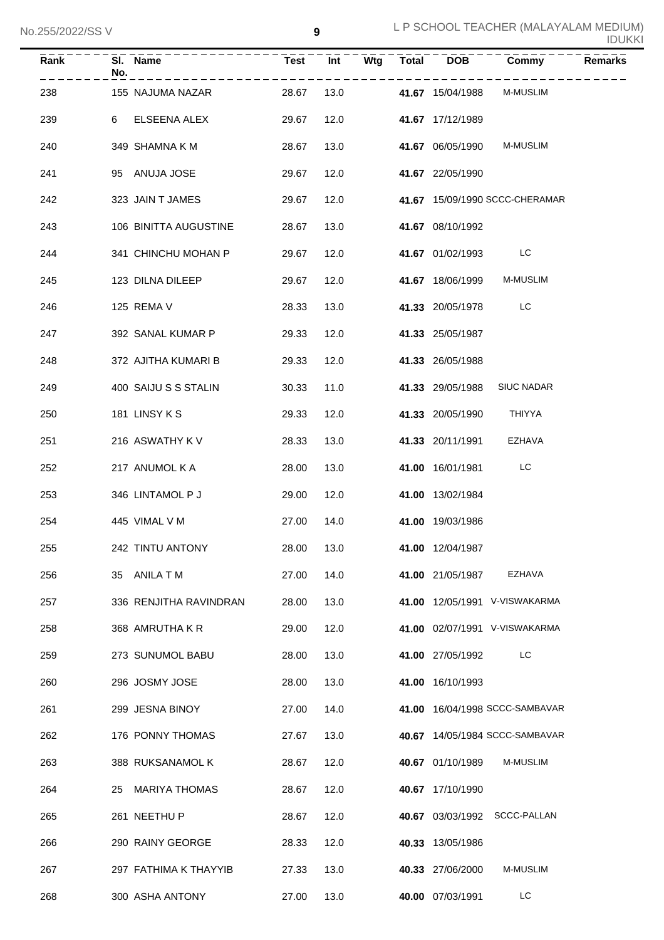| ZUUIZUZZIUU V |     |                        |             |      |                           |              |                  |                                | <b>IDUKKI</b>  |  |
|---------------|-----|------------------------|-------------|------|---------------------------|--------------|------------------|--------------------------------|----------------|--|
| Rank          | No. | SI. Name               | <b>Test</b> | Int  | $\overline{\mathsf{Wtg}}$ | <b>Total</b> | <b>DOB</b>       | Commy                          | <b>Remarks</b> |  |
| 238           |     | 155 NAJUMA NAZAR       | 28.67       | 13.0 |                           |              | 41.67 15/04/1988 | <b>M-MUSLIM</b>                |                |  |
| 239           |     | 6 ELSEENA ALEX         | 29.67       | 12.0 |                           |              | 41.67 17/12/1989 |                                |                |  |
| 240           |     | 349 SHAMNA K M         | 28.67       | 13.0 |                           |              | 41.67 06/05/1990 | M-MUSLIM                       |                |  |
| 241           |     | 95 ANUJA JOSE          | 29.67       | 12.0 |                           |              | 41.67 22/05/1990 |                                |                |  |
| 242           |     | 323 JAIN T JAMES       | 29.67       | 12.0 |                           |              |                  | 41.67 15/09/1990 SCCC-CHERAMAR |                |  |
| 243           |     | 106 BINITTA AUGUSTINE  | 28.67       | 13.0 |                           |              | 41.67 08/10/1992 |                                |                |  |
| 244           |     | 341 CHINCHU MOHAN P    | 29.67       | 12.0 |                           |              | 41.67 01/02/1993 | LC                             |                |  |
| 245           |     | 123 DILNA DILEEP       | 29.67       | 12.0 |                           |              | 41.67 18/06/1999 | <b>M-MUSLIM</b>                |                |  |
| 246           |     | 125 REMA V             | 28.33       | 13.0 |                           |              | 41.33 20/05/1978 | LC                             |                |  |
| 247           |     | 392 SANAL KUMAR P      | 29.33       | 12.0 |                           |              | 41.33 25/05/1987 |                                |                |  |
| 248           |     | 372 AJITHA KUMARI B    | 29.33       | 12.0 |                           |              | 41.33 26/05/1988 |                                |                |  |
| 249           |     | 400 SAIJU S S STALIN   | 30.33       | 11.0 |                           |              | 41.33 29/05/1988 | <b>SIUC NADAR</b>              |                |  |
| 250           |     | 181 LINSY K S          | 29.33       | 12.0 |                           |              | 41.33 20/05/1990 | THIYYA                         |                |  |
| 251           |     | 216 ASWATHY K V        | 28.33       | 13.0 |                           |              | 41.33 20/11/1991 | <b>EZHAVA</b>                  |                |  |
| 252           |     | 217 ANUMOL K A         | 28.00       | 13.0 |                           |              | 41.00 16/01/1981 | LC                             |                |  |
| 253           |     | 346 LINTAMOL P J       | 29.00       | 12.0 |                           |              | 41.00 13/02/1984 |                                |                |  |
| 254           |     | 445 VIMAL V M          | 27.00       | 14.0 |                           |              | 41.00 19/03/1986 |                                |                |  |
| 255           |     | 242 TINTU ANTONY       | 28.00       | 13.0 |                           |              | 41.00 12/04/1987 |                                |                |  |
| 256           |     | 35 ANILATM             | 27.00       | 14.0 |                           |              | 41.00 21/05/1987 | <b>EZHAVA</b>                  |                |  |
| 257           |     | 336 RENJITHA RAVINDRAN | 28.00       | 13.0 |                           |              |                  | 41.00 12/05/1991 V-VISWAKARMA  |                |  |
| 258           |     | 368 AMRUTHA K R        | 29.00       | 12.0 |                           |              |                  | 41.00 02/07/1991 V-VISWAKARMA  |                |  |
| 259           |     | 273 SUNUMOL BABU       | 28.00       | 13.0 |                           |              | 41.00 27/05/1992 | LC                             |                |  |
| 260           |     | 296 JOSMY JOSE         | 28.00       | 13.0 |                           |              | 41.00 16/10/1993 |                                |                |  |
| 261           |     | 299 JESNA BINOY        | 27.00       | 14.0 |                           |              |                  | 41.00 16/04/1998 SCCC-SAMBAVAR |                |  |
| 262           |     | 176 PONNY THOMAS       | 27.67       | 13.0 |                           |              |                  | 40.67 14/05/1984 SCCC-SAMBAVAR |                |  |
| 263           |     | 388 RUKSANAMOL K       | 28.67       | 12.0 |                           |              | 40.67 01/10/1989 | M-MUSLIM                       |                |  |
| 264           |     | 25 MARIYA THOMAS       | 28.67       | 12.0 |                           |              | 40.67 17/10/1990 |                                |                |  |
| 265           |     | 261 NEETHU P           | 28.67       | 12.0 |                           |              |                  | 40.67 03/03/1992 SCCC-PALLAN   |                |  |
| 266           |     | 290 RAINY GEORGE       | 28.33       | 12.0 |                           |              | 40.33 13/05/1986 |                                |                |  |
| 267           |     | 297 FATHIMA K THAYYIB  | 27.33       | 13.0 |                           |              | 40.33 27/06/2000 | M-MUSLIM                       |                |  |
| 268           |     | 300 ASHA ANTONY        | 27.00       | 13.0 |                           |              | 40.00 07/03/1991 | LC                             |                |  |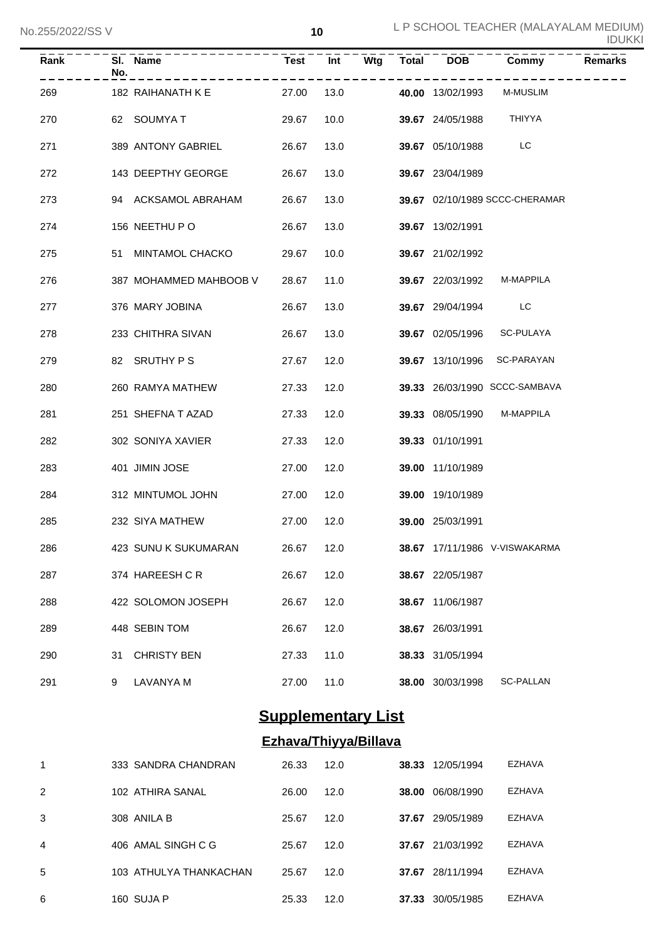| Rank | No. | SI. Name               |            |      |  | Test Int Wtg Total DOB | Commy                          | <b>Remarks</b> |
|------|-----|------------------------|------------|------|--|------------------------|--------------------------------|----------------|
| 269  |     | 182 RAIHANATH K E      | 27.00      | 13.0 |  | 40.00 13/02/1993       | <b>M-MUSLIM</b>                |                |
| 270  |     | 62 SOUMYA T            | 29.67      | 10.0 |  | 39.67 24/05/1988       | THIYYA                         |                |
| 271  |     | 389 ANTONY GABRIEL     | 26.67      | 13.0 |  | 39.67 05/10/1988       | LC                             |                |
| 272  |     | 143 DEEPTHY GEORGE     | 26.67      | 13.0 |  | 39.67 23/04/1989       |                                |                |
| 273  |     | 94 ACKSAMOL ABRAHAM    | 26.67      | 13.0 |  |                        | 39.67 02/10/1989 SCCC-CHERAMAR |                |
| 274  |     | 156 NEETHU PO          | 26.67      | 13.0 |  | 39.67 13/02/1991       |                                |                |
| 275  |     | 51 MINTAMOL CHACKO     | 29.67      | 10.0 |  | 39.67 21/02/1992       |                                |                |
| 276  |     | 387 MOHAMMED MAHBOOB V | 28.67      | 11.0 |  | 39.67 22/03/1992       | M-MAPPILA                      |                |
| 277  |     | 376 MARY JOBINA        | 26.67      | 13.0 |  | 39.67 29/04/1994       | <b>Example 1</b>               |                |
| 278  |     | 233 CHITHRA SIVAN      | 26.67      | 13.0 |  | 39.67 02/05/1996       | <b>SC-PULAYA</b>               |                |
| 279  |     | 82 SRUTHY PS           | 27.67      | 12.0 |  | 39.67 13/10/1996       | SC-PARAYAN                     |                |
| 280  |     | 260 RAMYA MATHEW       | 27.33      | 12.0 |  |                        | 39.33 26/03/1990 SCCC-SAMBAVA  |                |
| 281  |     | 251 SHEFNA T AZAD      | 27.33      | 12.0 |  | 39.33 08/05/1990       | M-MAPPILA                      |                |
| 282  |     | 302 SONIYA XAVIER      | 27.33      | 12.0 |  | 39.33 01/10/1991       |                                |                |
| 283  |     | 401 JIMIN JOSE         | 27.00      | 12.0 |  | 39.00 11/10/1989       |                                |                |
| 284  |     | 312 MINTUMOL JOHN      | 27.00      | 12.0 |  | 39.00 19/10/1989       |                                |                |
| 285  |     | 232 SIYA MATHEW        | 27.00      | 12.0 |  | 39.00 25/03/1991       |                                |                |
| 286  |     | 423 SUNU K SUKUMARAN   | 26.67 12.0 |      |  |                        | 38.67 17/11/1986 V-VISWAKARMA  |                |
| 287  |     | 374 HAREESH C R        | 26.67      | 12.0 |  | 38.67 22/05/1987       |                                |                |
| 288  |     | 422 SOLOMON JOSEPH     | 26.67      | 12.0 |  | 38.67 11/06/1987       |                                |                |
| 289  |     | 448 SEBIN TOM          | 26.67      | 12.0 |  | 38.67 26/03/1991       |                                |                |
| 290  | 31  | <b>CHRISTY BEN</b>     | 27.33      | 11.0 |  | 38.33 31/05/1994       |                                |                |
| 291  | 9   | LAVANYA M              | 27.00      | 11.0 |  | 38.00 30/03/1998       | <b>SC-PALLAN</b>               |                |

# **Supplementary List**

# **Ezhava/Thiyya/Billava**

| 1 | 333 SANDRA CHANDRAN    | 26.33 | 12.0 | 38.33 | 12/05/1994 | <b>EZHAVA</b> |
|---|------------------------|-------|------|-------|------------|---------------|
| 2 | 102 ATHIRA SANAL       | 26.00 | 12.0 | 38.00 | 06/08/1990 | <b>EZHAVA</b> |
| 3 | 308 ANILA B            | 25.67 | 12.0 | 37.67 | 29/05/1989 | <b>EZHAVA</b> |
| 4 | 406 AMAL SINGH C G     | 25.67 | 12.0 | 37.67 | 21/03/1992 | <b>EZHAVA</b> |
| 5 | 103 ATHULYA THANKACHAN | 25.67 | 12.0 | 37.67 | 28/11/1994 | <b>EZHAVA</b> |
| 6 | 160 SUJA P             | 25.33 | 12.0 | 37.33 | 30/05/1985 | EZHAVA        |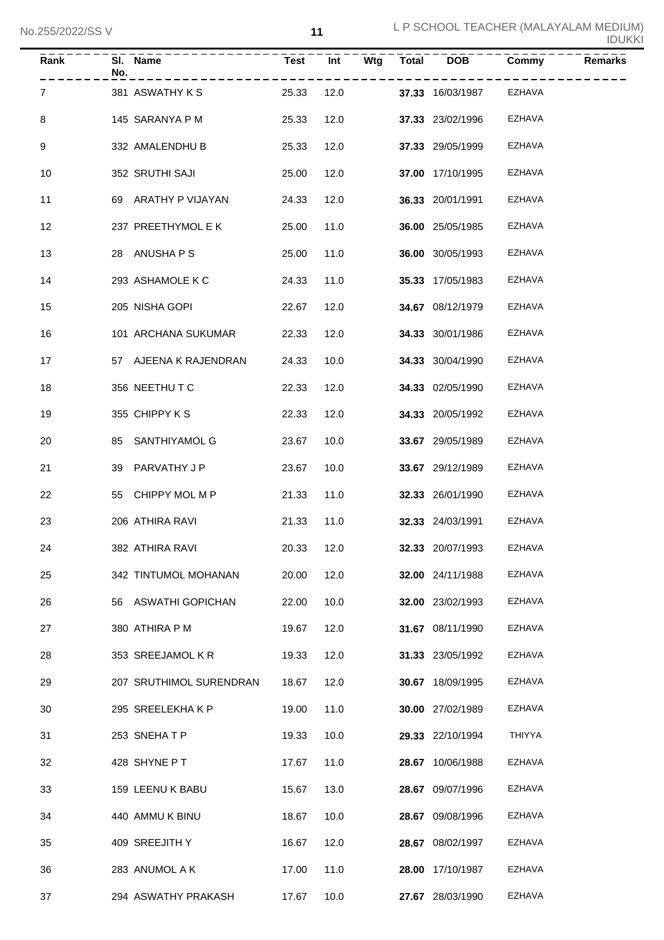| Rank            | No. | SI. Name<br>----------- | <b>Test</b> | Int        |      | $Wtg$ Total DOB         | Commy  | <b>Remarks</b> |
|-----------------|-----|-------------------------|-------------|------------|------|-------------------------|--------|----------------|
| $\mathbf{7}$    |     | 381 ASWATHY K S         | 25.33       | 12.0       |      | <b>37.33</b> 16/03/1987 | EZHAVA |                |
| 8               |     | 145 SARANYA P M         | 25.33       |            | 12.0 | 37.33 23/02/1996        | EZHAVA |                |
| 9               |     | 332 AMALENDHU B         | 25.33       |            | 12.0 | 37.33 29/05/1999        | EZHAVA |                |
| 10              |     | 352 SRUTHI SAJI         | 25.00       | 12.0       |      | 37.00 17/10/1995        | EZHAVA |                |
| 11              |     | 69 ARATHY P VIJAYAN     | 24.33       | 12.0       |      | 36.33 20/01/1991        | EZHAVA |                |
| 12              |     | 237 PREETHYMOL E K      | 25.00       | 11.0       |      | <b>36.00</b> 25/05/1985 | EZHAVA |                |
| 13              |     | 28 ANUSHAPS             | 25.00       | 11.0       |      | 36.00 30/05/1993        | EZHAVA |                |
| 14              |     | 293 ASHAMOLE K C        | 24.33       | 11.0       |      | 35.33 17/05/1983        | EZHAVA |                |
| 15              |     | 205 NISHA GOPI          | 22.67       | 12.0       |      | 34.67 08/12/1979        | EZHAVA |                |
| 16              |     | 101 ARCHANA SUKUMAR     | 22.33       | 12.0       |      | 34.33 30/01/1986        | EZHAVA |                |
| 17 <sup>2</sup> |     | 57 AJEENA K RAJENDRAN   | 24.33       | 10.0       |      | <b>34.33</b> 30/04/1990 | EZHAVA |                |
| 18              |     | 356 NEETHU T C          | 22.33       | 12.0       |      | 34.33 02/05/1990        | EZHAVA |                |
| 19              |     | 355 CHIPPY K S          | 22.33       | 12.0       |      | <b>34.33</b> 20/05/1992 | EZHAVA |                |
| 20              |     | 85 SANTHIYAMOL G        | 23.67       | 10.0       |      | 33.67 29/05/1989        | EZHAVA |                |
| 21              |     | 39 PARVATHY J P         | 23.67       | 10.0       |      | 33.67 29/12/1989        | EZHAVA |                |
| 22              |     | 55 CHIPPY MOL M P       | 21.33       | 11.0       |      | <b>32.33</b> 26/01/1990 | EZHAVA |                |
| 23              |     | 206 ATHIRA RAVI         | 21.33       | 11.0       |      | <b>32.33</b> 24/03/1991 | EZHAVA |                |
| 24              |     | 382 ATHIRA RAVI         |             | 20.33 12.0 |      | 32.33 20/07/1993        | EZHAVA |                |
| 25              |     | 342 TINTUMOL MOHANAN    | 20.00       | 12.0       |      | 32.00 24/11/1988        | EZHAVA |                |
| 26              |     | 56 ASWATHI GOPICHAN     | 22.00       | 10.0       |      | 32.00 23/02/1993        | EZHAVA |                |
| 27              |     | 380 ATHIRA P M          | 19.67       | 12.0       |      | 31.67 08/11/1990        | EZHAVA |                |
| 28              |     | 353 SREEJAMOL K R       | 19.33       | 12.0       |      | 31.33 23/05/1992        | EZHAVA |                |
| 29              |     | 207 SRUTHIMOL SURENDRAN | 18.67       | 12.0       |      | 30.67 18/09/1995        | EZHAVA |                |
| 30              |     | 295 SREELEKHAKP         | 19.00       | 11.0       |      | 30.00 27/02/1989        | EZHAVA |                |
| 31              |     | 253 SNEHATP             | 19.33       | 10.0       |      | 29.33 22/10/1994        | THIYYA |                |
| 32              |     | 428 SHYNE P T           | 17.67       | 11.0       |      | 28.67 10/06/1988        | EZHAVA |                |
| 33              |     | 159 LEENU K BABU        | 15.67       | 13.0       |      | 28.67 09/07/1996        | EZHAVA |                |
| 34              |     | 440 AMMU K BINU         | 18.67       | 10.0       |      | 28.67 09/08/1996        | EZHAVA |                |
| 35              |     | 409 SREEJITH Y          | 16.67       | 12.0       |      | 28.67 08/02/1997        | EZHAVA |                |
| 36              |     | 283 ANUMOL A K          | 17.00       | 11.0       |      | 28.00 17/10/1987        | EZHAVA |                |
| 37              |     | 294 ASWATHY PRAKASH     | 17.67       | 10.0       |      | 27.67 28/03/1990        | EZHAVA |                |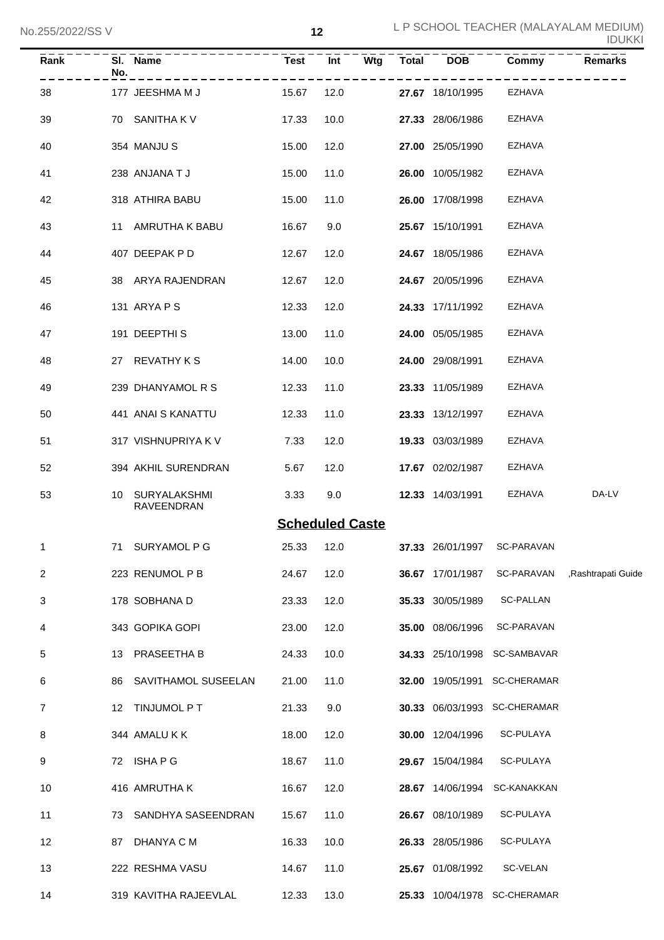| Rank           | No. | SI. Name                      | <b>Test</b> | Wtg<br>Int                                 | <b>Total</b> | <b>DOB</b>              | Commy                        | <b>Remarks</b>                                 |
|----------------|-----|-------------------------------|-------------|--------------------------------------------|--------------|-------------------------|------------------------------|------------------------------------------------|
| 38             |     | 177 JEESHMA M J               | 15.67       | 12.0                                       |              | 27.67 18/10/1995        | <b>EZHAVA</b>                |                                                |
| 39             |     | 70 SANITHA K V                | 17.33       | 10.0                                       |              | 27.33 28/06/1986        | <b>EZHAVA</b>                |                                                |
| 40             |     | 354 MANJU S                   | 15.00       | 12.0                                       |              | 27.00 25/05/1990        | <b>EZHAVA</b>                |                                                |
| 41             |     | 238 ANJANA T J                | 15.00       | 11.0                                       |              | 26.00 10/05/1982        | <b>EZHAVA</b>                |                                                |
| 42             |     | 318 ATHIRA BABU               | 15.00       | 11.0                                       |              | 26.00 17/08/1998        | <b>EZHAVA</b>                |                                                |
| 43             |     | 11 AMRUTHA K BABU             | 16.67       | 9.0                                        |              | 25.67 15/10/1991        | <b>EZHAVA</b>                |                                                |
| 44             |     | 407 DEEPAK P D                | 12.67       | 12.0                                       |              | 24.67 18/05/1986        | <b>EZHAVA</b>                |                                                |
| 45             |     | 38 ARYA RAJENDRAN             | 12.67       | 12.0                                       |              | 24.67 20/05/1996        | <b>EZHAVA</b>                |                                                |
| 46             |     | 131 ARYA P S                  | 12.33       | 12.0                                       |              | 24.33 17/11/1992        | <b>EZHAVA</b>                |                                                |
| 47             |     | 191 DEEPTHIS                  | 13.00       | 11.0                                       |              | <b>24.00</b> 05/05/1985 | <b>EZHAVA</b>                |                                                |
| 48             |     | 27 REVATHY K S                | 14.00       | 10.0                                       |              | <b>24.00</b> 29/08/1991 | <b>EZHAVA</b>                |                                                |
| 49             |     | 239 DHANYAMOL R S             | 12.33       | 11.0                                       |              | 23.33 11/05/1989        | <b>EZHAVA</b>                |                                                |
| 50             |     | 441 ANAI S KANATTU            | 12.33       | 11.0                                       |              | 23.33 13/12/1997        | <b>EZHAVA</b>                |                                                |
| 51             |     | 317 VISHNUPRIYA K V           | 7.33        | 12.0                                       |              | <b>19.33</b> 03/03/1989 | <b>EZHAVA</b>                |                                                |
| 52             |     | 394 AKHIL SURENDRAN           | 5.67        | 12.0                                       |              | 17.67 02/02/1987        | EZHAVA                       |                                                |
| 53             |     | 10 SURYALAKSHMI<br>RAVEENDRAN | 3.33        | 9.0                                        |              | 12.33 14/03/1991        | EZHAVA                       | DA-LV                                          |
|                |     |                               |             | <b>Scheduled Caste</b>                     |              |                         |                              |                                                |
|                |     | 71 SURYAMOL P G               |             | 25.33  12.0  37.33  26/01/1997  SC-PARAVAN |              |                         |                              |                                                |
| $\overline{2}$ |     | 223 RENUMOL P B               | 24.67       | 12.0                                       |              |                         |                              | 36.67 17/01/1987 SC-PARAVAN ,Rashtrapati Guide |
| 3              |     | 178 SOBHANA D                 | 23.33       | 12.0                                       |              | 35.33 30/05/1989        | <b>SC-PALLAN</b>             |                                                |
| 4              |     | 343 GOPIKA GOPI               | 23.00       | 12.0                                       |              | 35.00 08/06/1996        | SC-PARAVAN                   |                                                |
| 5              |     | 13 PRASEETHA B                | 24.33       | 10.0                                       |              |                         | 34.33 25/10/1998 SC-SAMBAVAR |                                                |
| 6              |     | 86 SAVITHAMOL SUSEELAN        | 21.00       | 11.0                                       |              |                         | 32.00 19/05/1991 SC-CHERAMAR |                                                |
| $\overline{7}$ |     | 12 TINJUMOL P T               | 21.33       | 9.0                                        |              |                         | 30.33 06/03/1993 SC-CHERAMAR |                                                |
| 8              |     | 344 AMALUKK                   | 18.00       | 12.0                                       |              | <b>30.00</b> 12/04/1996 | SC-PULAYA                    |                                                |
| 9              |     | 72 ISHA P G                   | 18.67       | 11.0                                       |              | 29.67 15/04/1984        | SC-PULAYA                    |                                                |
| 10             |     | 416 AMRUTHA K                 | 16.67       | 12.0                                       |              |                         | 28.67 14/06/1994 SC-KANAKKAN |                                                |
| 11             |     | 73 SANDHYA SASEENDRAN         | 15.67       | 11.0                                       |              | 26.67 08/10/1989        | SC-PULAYA                    |                                                |
| 12             |     | 87 DHANYA C M                 | 16.33       | 10.0                                       |              | 26.33 28/05/1986        | SC-PULAYA                    |                                                |
| 13             |     | 222 RESHMA VASU               | 14.67       | 11.0                                       |              | 25.67 01/08/1992        | SC-VELAN                     |                                                |
| 14             |     | 319 KAVITHA RAJEEVLAL         | 12.33       | 13.0                                       |              |                         | 25.33 10/04/1978 SC-CHERAMAR |                                                |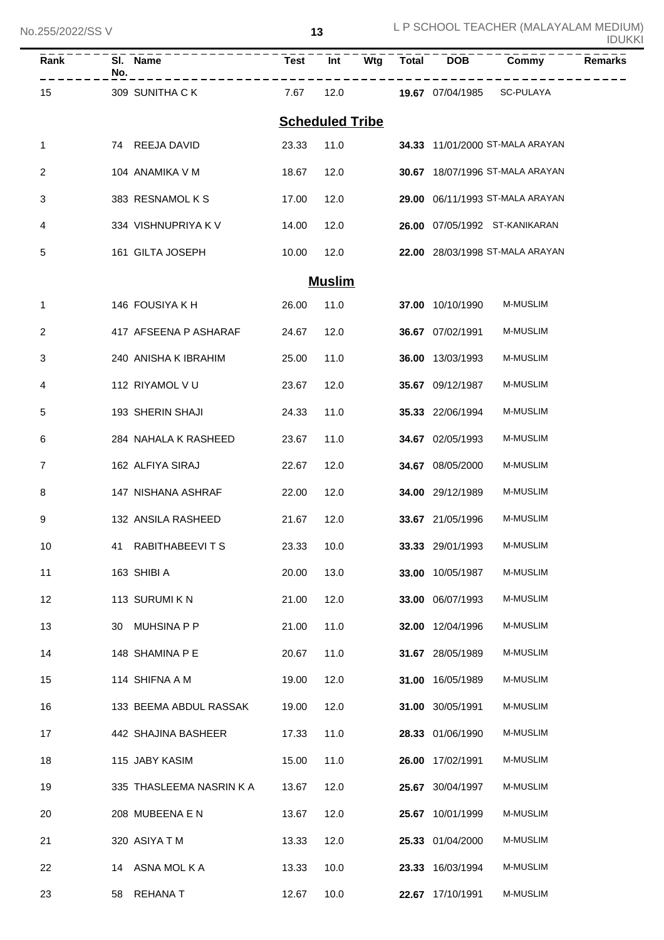No.255/2022/SS V

| Rank | No. | SI. Name                    | Test                   | Int           | Wtg | Total | <b>DOB</b>       | Commy                           | <b>Remarks</b> |
|------|-----|-----------------------------|------------------------|---------------|-----|-------|------------------|---------------------------------|----------------|
| 15   |     | ---------<br>309 SUNITHA CK | 7.67                   | 12.0          |     |       |                  | 19.67 07/04/1985 SC-PULAYA      |                |
|      |     |                             | <b>Scheduled Tribe</b> |               |     |       |                  |                                 |                |
| 1    |     | 74 REEJA DAVID              | 23.33                  | 11.0          |     |       |                  | 34.33 11/01/2000 ST-MALA ARAYAN |                |
| 2    |     | 104 ANAMIKA V M             | 18.67                  | 12.0          |     |       |                  | 30.67 18/07/1996 ST-MALA ARAYAN |                |
| 3    |     | 383 RESNAMOLKS              | 17.00                  | 12.0          |     |       |                  | 29.00 06/11/1993 ST-MALA ARAYAN |                |
| 4    |     | 334 VISHNUPRIYA K V         | 14.00                  | 12.0          |     |       |                  | 26.00 07/05/1992 ST-KANIKARAN   |                |
| 5    |     | 161 GILTA JOSEPH            | 10.00                  | 12.0          |     |       |                  | 22.00 28/03/1998 ST-MALA ARAYAN |                |
|      |     |                             |                        | <b>Muslim</b> |     |       |                  |                                 |                |
| 1    |     | 146 FOUSIYA K H             | 26.00                  | 11.0          |     |       | 37.00 10/10/1990 | M-MUSLIM                        |                |
| 2    |     | 417 AFSEENA P ASHARAF       | 24.67                  | 12.0          |     |       | 36.67 07/02/1991 | <b>M-MUSLIM</b>                 |                |
| 3    |     | 240 ANISHA K IBRAHIM        | 25.00                  | 11.0          |     |       | 36.00 13/03/1993 | M-MUSLIM                        |                |
| 4    |     | 112 RIYAMOL V U             | 23.67                  | 12.0          |     |       | 35.67 09/12/1987 | M-MUSLIM                        |                |
| 5    |     | 193 SHERIN SHAJI            | 24.33                  | 11.0          |     |       | 35.33 22/06/1994 | M-MUSLIM                        |                |
| 6    |     | 284 NAHALA K RASHEED        | 23.67                  | 11.0          |     |       | 34.67 02/05/1993 | M-MUSLIM                        |                |
| 7    |     | 162 ALFIYA SIRAJ            | 22.67                  | 12.0          |     |       | 34.67 08/05/2000 | M-MUSLIM                        |                |
| 8    |     | 147 NISHANA ASHRAF          | 22.00                  | 12.0          |     |       | 34.00 29/12/1989 | M-MUSLIM                        |                |
| 9    |     | 132 ANSILA RASHEED          | 21.67                  | 12.0          |     |       | 33.67 21/05/1996 | <b>M-MUSLIM</b>                 |                |
| 10   |     | 41 RABITHABEEVITS           | 23.33                  | 10.0          |     |       | 33.33 29/01/1993 | <b>M-MUSLIM</b>                 |                |
| 11   |     | 163 SHIBI A                 | 20.00                  | 13.0          |     |       | 33.00 10/05/1987 | <b>M-MUSLIM</b>                 |                |
| 12   |     | 113 SURUMI K N              | 21.00                  | 12.0          |     |       | 33.00 06/07/1993 | M-MUSLIM                        |                |
| 13   | 30  | <b>MUHSINA P P</b>          | 21.00                  | 11.0          |     |       | 32.00 12/04/1996 | M-MUSLIM                        |                |
| 14   |     | 148 SHAMINA P E             | 20.67                  | 11.0          |     |       | 31.67 28/05/1989 | M-MUSLIM                        |                |
| 15   |     | 114 SHIFNA A M              | 19.00                  | 12.0          |     |       | 31.00 16/05/1989 | M-MUSLIM                        |                |
| 16   |     | 133 BEEMA ABDUL RASSAK      | 19.00                  | 12.0          |     |       | 31.00 30/05/1991 | M-MUSLIM                        |                |
| 17   |     | 442 SHAJINA BASHEER         | 17.33                  | 11.0          |     |       | 28.33 01/06/1990 | M-MUSLIM                        |                |
| 18   |     | 115 JABY KASIM              | 15.00                  | 11.0          |     |       | 26.00 17/02/1991 | M-MUSLIM                        |                |
| 19   |     | 335 THASLEEMA NASRIN K A    | 13.67                  | 12.0          |     |       | 25.67 30/04/1997 | M-MUSLIM                        |                |
| 20   |     | 208 MUBEENA E N             | 13.67                  | 12.0          |     |       | 25.67 10/01/1999 | M-MUSLIM                        |                |
| 21   |     | 320 ASIYA T M               | 13.33                  | 12.0          |     |       | 25.33 01/04/2000 | M-MUSLIM                        |                |
| 22   | 14  | ASNA MOL K A                | 13.33                  | 10.0          |     |       | 23.33 16/03/1994 | M-MUSLIM                        |                |
| 23   | 58  | <b>REHANAT</b>              | 12.67                  | 10.0          |     |       | 22.67 17/10/1991 | M-MUSLIM                        |                |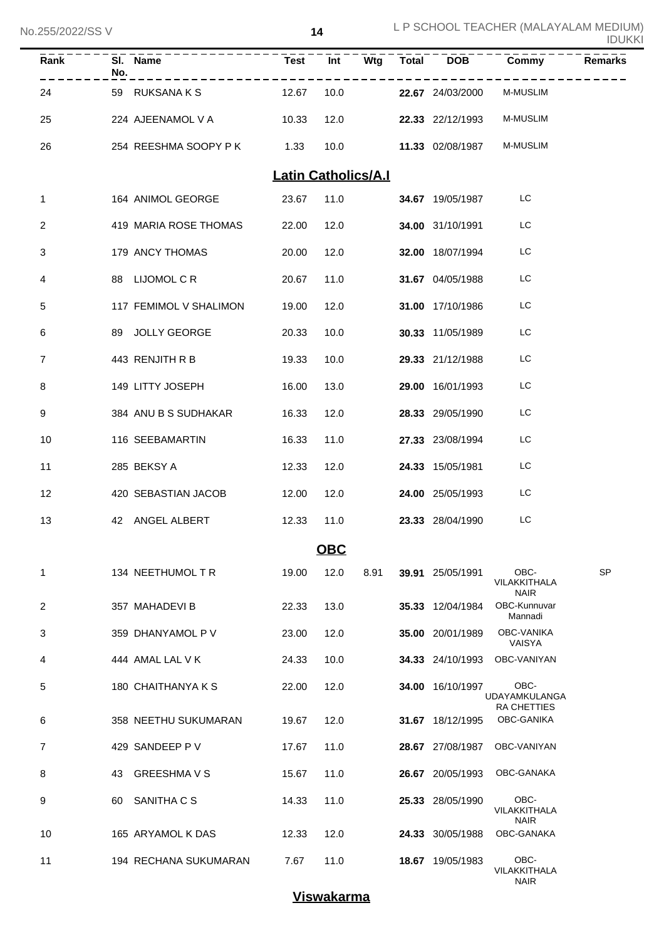| ZUUIZUZZIUU V  |     |                        |                            |            |             |                  |                                                    | <b>IDUKKI</b> |
|----------------|-----|------------------------|----------------------------|------------|-------------|------------------|----------------------------------------------------|---------------|
| Rank           | No. | SI. Name               | <b>Test</b>                |            | $Int - Wtg$ | Total DOB        | Commy                                              | Remarks       |
| 24             |     | 59 RUKSANA K S         | 12.67                      | 10.0       |             | 22.67 24/03/2000 | <b>M-MUSLIM</b>                                    |               |
| 25             |     | 224 AJEENAMOL V A      | 10.33                      | 12.0       |             | 22.33 22/12/1993 | <b>M-MUSLIM</b>                                    |               |
| 26             |     | 254 REESHMA SOOPY P K  | 1.33                       | 10.0       |             | 11.33 02/08/1987 | <b>M-MUSLIM</b>                                    |               |
|                |     |                        | <b>Latin Catholics/A.I</b> |            |             |                  |                                                    |               |
| 1              |     | 164 ANIMOL GEORGE      | 23.67                      | 11.0       |             | 34.67 19/05/1987 | LC                                                 |               |
| 2              |     | 419 MARIA ROSE THOMAS  | 22.00                      | 12.0       |             | 34.00 31/10/1991 | LC                                                 |               |
| 3              |     | 179 ANCY THOMAS        | 20.00                      | 12.0       |             | 32.00 18/07/1994 | LC                                                 |               |
| 4              |     | 88 LIJOMOL C R         | 20.67                      | 11.0       |             | 31.67 04/05/1988 | LC                                                 |               |
| 5              |     | 117 FEMIMOL V SHALIMON | 19.00                      | 12.0       |             | 31.00 17/10/1986 | LC                                                 |               |
| 6              |     | 89 JOLLY GEORGE        | 20.33                      | 10.0       |             | 30.33 11/05/1989 | LC                                                 |               |
| $\overline{7}$ |     | 443 RENJITH R B        | 19.33                      | 10.0       |             | 29.33 21/12/1988 | LC                                                 |               |
| 8              |     | 149 LITTY JOSEPH       | 16.00                      | 13.0       |             | 29.00 16/01/1993 | LC                                                 |               |
| 9              |     | 384 ANU B S SUDHAKAR   | 16.33                      | 12.0       |             | 28.33 29/05/1990 | LC                                                 |               |
| 10             |     | 116 SEEBAMARTIN        | 16.33                      | 11.0       |             | 27.33 23/08/1994 | LC                                                 |               |
| 11             |     | 285 BEKSY A            | 12.33                      | 12.0       |             | 24.33 15/05/1981 | LC                                                 |               |
| 12             |     | 420 SEBASTIAN JACOB    | 12.00                      | 12.0       |             | 24.00 25/05/1993 | LC                                                 |               |
| 13             |     | 42 ANGEL ALBERT        | 12.33                      | 11.0       |             | 23.33 28/04/1990 | LC                                                 |               |
|                |     |                        |                            | <b>OBC</b> |             |                  |                                                    |               |
| 1              |     | 134 NEETHUMOL T R      | 19.00                      | 12.0       | 8.91        | 39.91 25/05/1991 | OBC-<br>VILAKKITHALA<br><b>NAIR</b>                | <b>SP</b>     |
| 2              |     | 357 MAHADEVI B         | 22.33                      | 13.0       |             | 35.33 12/04/1984 | OBC-Kunnuvar<br>Mannadi                            |               |
| 3              |     | 359 DHANYAMOL P V      | 23.00                      | 12.0       |             | 35.00 20/01/1989 | <b>OBC-VANIKA</b><br>VAISYA                        |               |
| 4              |     | 444 AMAL LAL V K       | 24.33                      | 10.0       |             | 34.33 24/10/1993 | OBC-VANIYAN                                        |               |
| 5              |     | 180 CHAITHANYA K S     | 22.00                      | 12.0       |             | 34.00 16/10/1997 | OBC-<br><b>UDAYAMKULANGA</b><br><b>RA CHETTIES</b> |               |
| 6              |     | 358 NEETHU SUKUMARAN   | 19.67                      | 12.0       |             | 31.67 18/12/1995 | OBC-GANIKA                                         |               |
| 7              |     | 429 SANDEEP P V        | 17.67                      | 11.0       |             | 28.67 27/08/1987 | OBC-VANIYAN                                        |               |
| 8              | 43  | <b>GREESHMA V S</b>    | 15.67                      | 11.0       |             | 26.67 20/05/1993 | OBC-GANAKA                                         |               |
| 9              | 60  | SANITHA C S            | 14.33                      | 11.0       |             | 25.33 28/05/1990 | OBC-<br>VILAKKITHALA<br><b>NAIR</b>                |               |
| 10             |     | 165 ARYAMOL K DAS      | 12.33                      | 12.0       |             | 24.33 30/05/1988 | OBC-GANAKA                                         |               |
| 11             |     | 194 RECHANA SUKUMARAN  | 7.67                       | 11.0       |             | 18.67 19/05/1983 | OBC-<br>VILAKKITHALA<br><b>NAIR</b>                |               |

# **Viswakarma**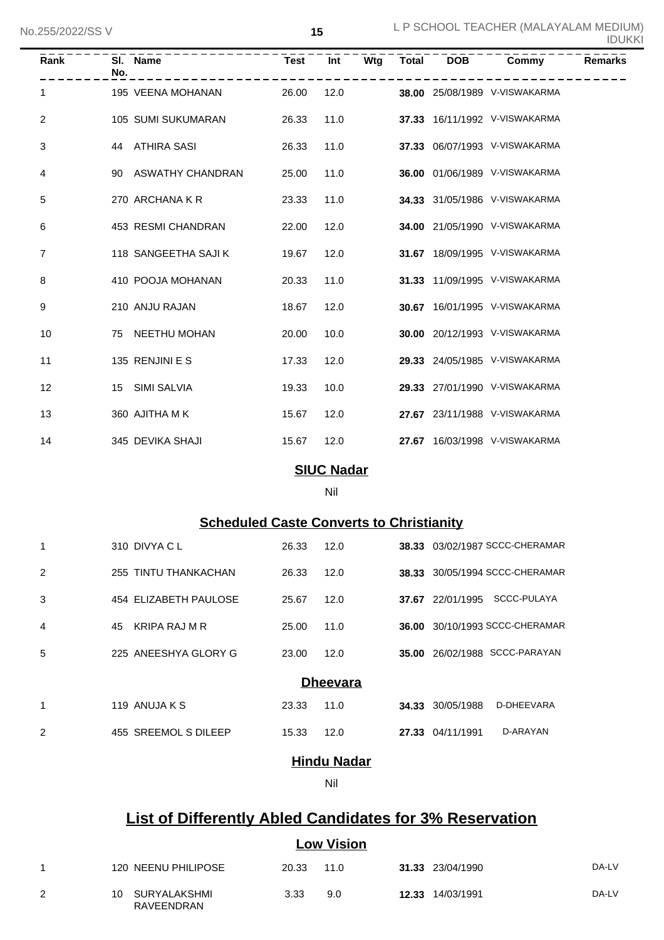| Rank         | No. | SI. Name             | <b>Test</b> | Int  | Wtg | Total | <b>DOB</b> | Commy                         | <b>Remarks</b> |
|--------------|-----|----------------------|-------------|------|-----|-------|------------|-------------------------------|----------------|
| $\mathbf{1}$ |     | 195 VEENA MOHANAN    | 26.00       | 12.0 |     |       |            | 38.00 25/08/1989 V-VISWAKARMA |                |
| 2            |     | 105 SUMI SUKUMARAN   | 26.33       | 11.0 |     |       |            | 37.33 16/11/1992 V-VISWAKARMA |                |
| 3            |     | 44 ATHIRA SASI       | 26.33       | 11.0 |     |       |            | 37.33 06/07/1993 V-VISWAKARMA |                |
| 4            |     | 90 ASWATHY CHANDRAN  | 25.00       | 11.0 |     |       |            | 36.00 01/06/1989 V-VISWAKARMA |                |
| 5            |     | 270 ARCHANA K R      | 23.33       | 11.0 |     |       |            | 34.33 31/05/1986 V-VISWAKARMA |                |
| 6            |     | 453 RESMI CHANDRAN   | 22.00       | 12.0 |     |       |            | 34.00 21/05/1990 V-VISWAKARMA |                |
| 7            |     | 118 SANGEETHA SAJI K | 19.67       | 12.0 |     |       |            | 31.67 18/09/1995 V-VISWAKARMA |                |
| 8            |     | 410 POOJA MOHANAN    | 20.33       | 11.0 |     |       |            | 31.33 11/09/1995 V-VISWAKARMA |                |
| 9            |     | 210 ANJU RAJAN       | 18.67       | 12.0 |     |       |            | 30.67 16/01/1995 V-VISWAKARMA |                |
| 10           |     | 75 NEETHU MOHAN      | 20.00       | 10.0 |     |       |            | 30.00 20/12/1993 V-VISWAKARMA |                |
| 11           |     | 135 RENJINI E S      | 17.33       | 12.0 |     |       |            | 29.33 24/05/1985 V-VISWAKARMA |                |
| 12           |     | 15 SIMI SALVIA       | 19.33       | 10.0 |     |       |            | 29.33 27/01/1990 V-VISWAKARMA |                |
| 13           |     | 360 AJITHA MK        | 15.67       | 12.0 |     |       |            | 27.67 23/11/1988 V-VISWAKARMA |                |
| 14           |     | 345 DEVIKA SHAJI     | 15.67       | 12.0 |     |       |            | 27.67 16/03/1998 V-VISWAKARMA |                |

### **SIUC Nadar**

#### Nil

## **Scheduled Caste Converts to Christianity**

| 1              | 310 DIVYA C L         | 26.33 | 12.0 |       |            | 38.33 03/02/1987 SCCC-CHERAMAR |  |  |  |  |
|----------------|-----------------------|-------|------|-------|------------|--------------------------------|--|--|--|--|
| 2              | 255 TINTU THANKACHAN  | 26.33 | 12.0 | 38.33 |            | 30/05/1994 SCCC-CHERAMAR       |  |  |  |  |
| 3              | 454 ELIZABETH PAULOSE | 25.67 | 12.0 | 37.67 | 22/01/1995 | SCCC-PULAYA                    |  |  |  |  |
| 4              | KRIPA RAJ M R<br>45   | 25.00 | 11.0 | 36.00 |            | 30/10/1993 SCCC-CHERAMAR       |  |  |  |  |
| 5              | 225 ANEESHYA GLORY G  | 23.00 | 12.0 | 35.00 |            | 26/02/1988 SCCC-PARAYAN        |  |  |  |  |
|                | <b>Dheevara</b>       |       |      |       |            |                                |  |  |  |  |
| 1              | 119 ANUJA K S         | 23.33 | 11.0 | 34.33 | 30/05/1988 | D-DHEEVARA                     |  |  |  |  |
| $\overline{2}$ | 455 SREEMOL S DILEEP  | 15.33 | 12.0 | 27.33 | 04/11/1991 | D-ARAYAN                       |  |  |  |  |

## **Hindu Nadar**

#### Nil

# **List of Differently Abled Candidates for 3% Reservation**

### **Low Vision**

|   | 120 NEENU PHILIPOSE           | 20.33 | 11.0 | 31.33 23/04/1990 | DA-LV |
|---|-------------------------------|-------|------|------------------|-------|
| 2 | 10 SURYALAKSHMI<br>RAVEENDRAN | 3.33  | 9.0  | 12.33 14/03/1991 | DA-LV |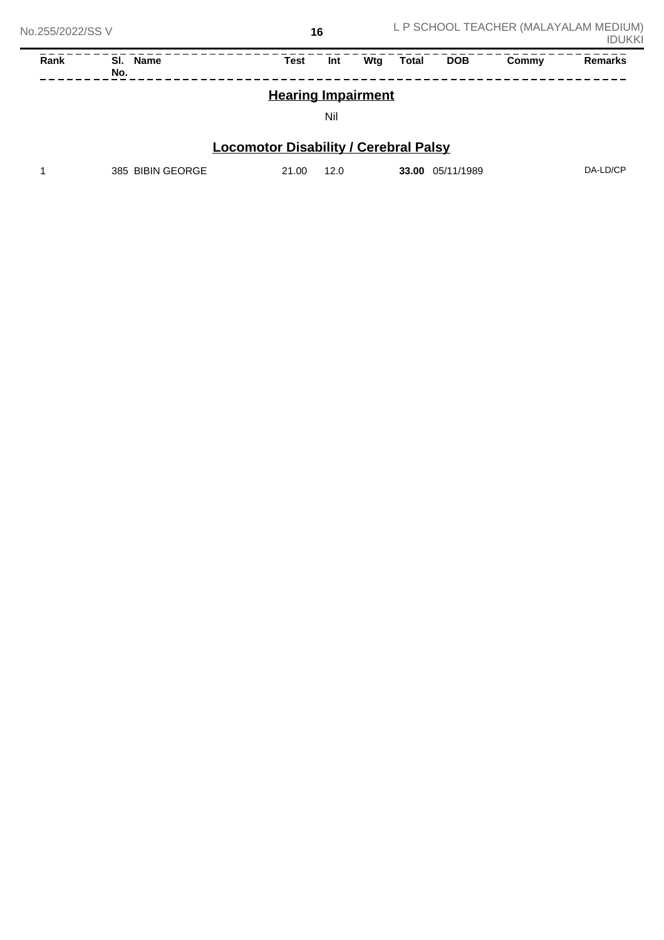| Rank                      | <b>Name</b><br>SI.<br>No. | Test | Int | Wta | Total | <b>DOB</b> | Commy | <b>Remarks</b> |
|---------------------------|---------------------------|------|-----|-----|-------|------------|-------|----------------|
| <b>Hearing Impairment</b> |                           |      |     |     |       |            |       |                |

### Nil

# **Locomotor Disability / Cerebral Palsy**

| 385 BIBIN GEORGE | 21.00 | 12.0 | 05/11/1989<br>33.00 | DA-LD/CP |
|------------------|-------|------|---------------------|----------|
|                  |       |      |                     |          |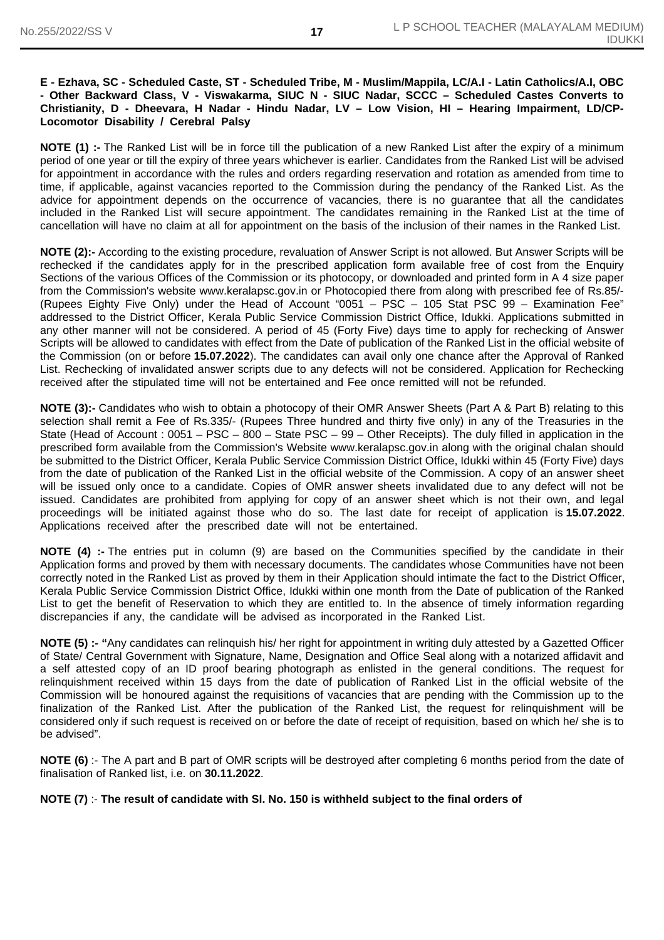#### **E - Ezhava, SC - Scheduled Caste, ST - Scheduled Tribe, M - Muslim/Mappila, LC/A.I - Latin Catholics/A.I, OBC - Other Backward Class, V - Viswakarma, SIUC N - SIUC Nadar, SCCC – Scheduled Castes Converts to Christianity, D - Dheevara, H Nadar - Hindu Nadar, LV – Low Vision, HI – Hearing Impairment, LD/CP-Locomotor Disability / Cerebral Palsy**

**NOTE (1) :-** The Ranked List will be in force till the publication of a new Ranked List after the expiry of a minimum period of one year or till the expiry of three years whichever is earlier. Candidates from the Ranked List will be advised for appointment in accordance with the rules and orders regarding reservation and rotation as amended from time to time, if applicable, against vacancies reported to the Commission during the pendancy of the Ranked List. As the advice for appointment depends on the occurrence of vacancies, there is no guarantee that all the candidates included in the Ranked List will secure appointment. The candidates remaining in the Ranked List at the time of cancellation will have no claim at all for appointment on the basis of the inclusion of their names in the Ranked List.

**NOTE (2):-** According to the existing procedure, revaluation of Answer Script is not allowed. But Answer Scripts will be rechecked if the candidates apply for in the prescribed application form available free of cost from the Enquiry Sections of the various Offices of the Commission or its photocopy, or downloaded and printed form in A 4 size paper from the Commission's website www.keralapsc.gov.in or Photocopied there from along with prescribed fee of Rs.85/- (Rupees Eighty Five Only) under the Head of Account "0051 – PSC – 105 Stat PSC 99 – Examination Fee" addressed to the District Officer, Kerala Public Service Commission District Office, Idukki. Applications submitted in any other manner will not be considered. A period of 45 (Forty Five) days time to apply for rechecking of Answer Scripts will be allowed to candidates with effect from the Date of publication of the Ranked List in the official website of the Commission (on or before **15.07.2022**). The candidates can avail only one chance after the Approval of Ranked List. Rechecking of invalidated answer scripts due to any defects will not be considered. Application for Rechecking received after the stipulated time will not be entertained and Fee once remitted will not be refunded.

**NOTE (3):-** Candidates who wish to obtain a photocopy of their OMR Answer Sheets (Part A & Part B) relating to this selection shall remit a Fee of Rs.335/- (Rupees Three hundred and thirty five only) in any of the Treasuries in the State (Head of Account : 0051 – PSC – 800 – State PSC – 99 – Other Receipts). The duly filled in application in the prescribed form available from the Commission's Website www.keralapsc.gov.in along with the original chalan should be submitted to the District Officer, Kerala Public Service Commission District Office, Idukki within 45 (Forty Five) days from the date of publication of the Ranked List in the official website of the Commission. A copy of an answer sheet will be issued only once to a candidate. Copies of OMR answer sheets invalidated due to any defect will not be issued. Candidates are prohibited from applying for copy of an answer sheet which is not their own, and legal proceedings will be initiated against those who do so. The last date for receipt of application is **15.07.2022**. Applications received after the prescribed date will not be entertained.

**NOTE (4) :-** The entries put in column (9) are based on the Communities specified by the candidate in their Application forms and proved by them with necessary documents. The candidates whose Communities have not been correctly noted in the Ranked List as proved by them in their Application should intimate the fact to the District Officer, Kerala Public Service Commission District Office, Idukki within one month from the Date of publication of the Ranked List to get the benefit of Reservation to which they are entitled to. In the absence of timely information regarding discrepancies if any, the candidate will be advised as incorporated in the Ranked List.

**NOTE (5) :- "**Any candidates can relinquish his/ her right for appointment in writing duly attested by a Gazetted Officer of State/ Central Government with Signature, Name, Designation and Office Seal along with a notarized affidavit and a self attested copy of an ID proof bearing photograph as enlisted in the general conditions. The request for relinquishment received within 15 days from the date of publication of Ranked List in the official website of the Commission will be honoured against the requisitions of vacancies that are pending with the Commission up to the finalization of the Ranked List. After the publication of the Ranked List, the request for relinquishment will be considered only if such request is received on or before the date of receipt of requisition, based on which he/ she is to be advised".

**NOTE (6)** :- The A part and B part of OMR scripts will be destroyed after completing 6 months period from the date of finalisation of Ranked list, i.e. on **30.11.2022**.

**NOTE (7)** :- **The result of candidate with Sl. No. 150 is withheld subject to the final orders of**